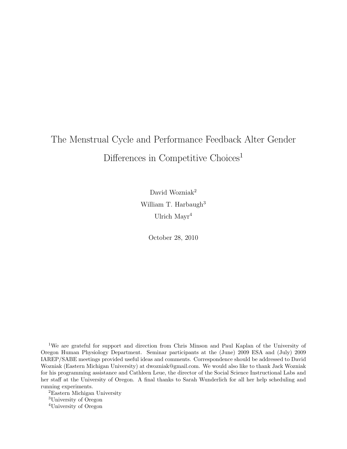# The Menstrual Cycle and Performance Feedback Alter Gender Differences in Competitive Choices<sup>1</sup>

David Wozniak<sup>2</sup> William T. Harbaugh<sup>3</sup> Ulrich Mayr<sup>4</sup>

October 28, 2010

<sup>1</sup>We are grateful for support and direction from Chris Minson and Paul Kaplan of the University of Oregon Human Physiology Department. Seminar participants at the (June) 2009 ESA and (July) 2009 IAREP/SABE meetings provided useful ideas and comments. Correspondence should be addressed to David Wozniak (Eastern Michigan University) at dwozniak@gmail.com. We would also like to thank Jack Wozniak for his programming assistance and Cathleen Leue, the director of the Social Science Instructional Labs and her staff at the University of Oregon. A final thanks to Sarah Wunderlich for all her help scheduling and running experiments.

<sup>2</sup>Eastern Michigan University <sup>3</sup>University of Oregon <sup>4</sup>University of Oregon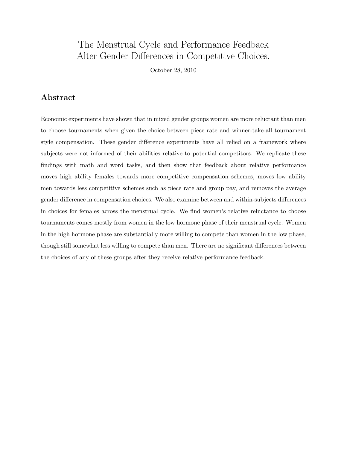## The Menstrual Cycle and Performance Feedback Alter Gender Differences in Competitive Choices.

October 28, 2010

## Abstract

Economic experiments have shown that in mixed gender groups women are more reluctant than men to choose tournaments when given the choice between piece rate and winner-take-all tournament style compensation. These gender difference experiments have all relied on a framework where subjects were not informed of their abilities relative to potential competitors. We replicate these findings with math and word tasks, and then show that feedback about relative performance moves high ability females towards more competitive compensation schemes, moves low ability men towards less competitive schemes such as piece rate and group pay, and removes the average gender difference in compensation choices. We also examine between and within-subjects differences in choices for females across the menstrual cycle. We find women's relative reluctance to choose tournaments comes mostly from women in the low hormone phase of their menstrual cycle. Women in the high hormone phase are substantially more willing to compete than women in the low phase, though still somewhat less willing to compete than men. There are no significant differences between the choices of any of these groups after they receive relative performance feedback.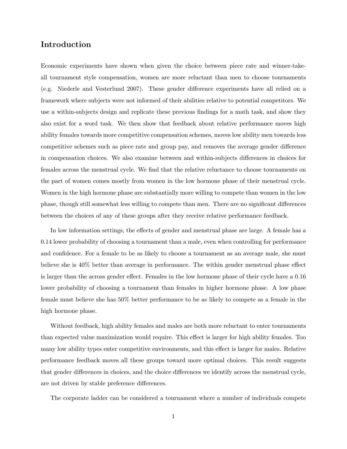## Introduction

Economic experiments have shown when given the choice between piece rate and winner-takeall tournament style compensation, women are more reluctant than men to choose tournaments (e.g. Niederle and Vesterlund 2007). These gender difference experiments have all relied on a framework where subjects were not informed of their abilities relative to potential competitors. We use a within-subjects design and replicate these previous findings for a math task, and show they also exist for a word task. We then show that feedback about relative performance moves high ability females towards more competitive compensation schemes, moves low ability men towards less competitive schemes such as piece rate and group pay, and removes the average gender difference in compensation choices. We also examine between and within-subjects differences in choices for females across the menstrual cycle. We find that the relative reluctance to choose tournaments on the part of women comes mostly from women in the low hormone phase of their menstrual cycle. Women in the high hormone phase are substantially more willing to compete than women in the low phase, though still somewhat less willing to compete than men. There are no significant differences between the choices of any of these groups after they receive relative performance feedback.

In low information settings, the effects of gender and menstrual phase are large. A female has a 0.14 lower probability of choosing a tournament than a male, even when controlling for performance and confidence. For a female to be as likely to choose a tournament as an average male, she must believe she is 40% better than average in performance. The within gender menstrual phase effect is larger than the across gender effect. Females in the low hormone phase of their cycle have a 0.16 lower probability of choosing a tournament than females in higher hormone phase. A low phase female must believe she has 50% better performance to be as likely to compete as a female in the high hormone phase.

Without feedback, high ability females and males are both more reluctant to enter tournaments than expected value maximization would require. This effect is larger for high ability females. Too many low ability types enter competitive environments, and this effect is larger for males. Relative performance feedback moves all these groups toward more optimal choices. This result suggests that gender differences in choices, and the choice differences we identify across the menstrual cycle, are not driven by stable preference differences.

The corporate ladder can be considered a tournament where a number of individuals compete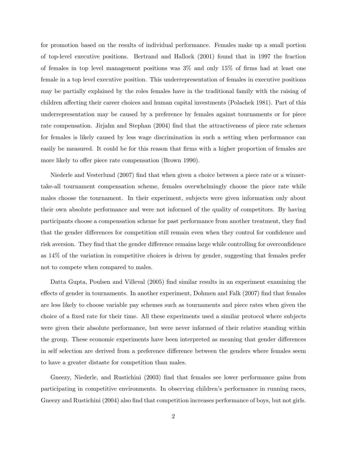for promotion based on the results of individual performance. Females make up a small portion of top-level executive positions. Bertrand and Hallock (2001) found that in 1997 the fraction of females in top level management positions was 3% and only 15% of firms had at least one female in a top level executive position. This underrepresentation of females in executive positions may be partially explained by the roles females have in the traditional family with the raising of children affecting their career choices and human capital investments (Polachek 1981). Part of this underrepresentation may be caused by a preference by females against tournaments or for piece rate compensation. Jirjahn and Stephan (2004) find that the attractiveness of piece rate schemes for females is likely caused by less wage discrimination in such a setting when performance can easily be measured. It could be for this reason that firms with a higher proportion of females are more likely to offer piece rate compensation (Brown 1990).

Niederle and Vesterlund (2007) find that when given a choice between a piece rate or a winnertake-all tournament compensation scheme, females overwhelmingly choose the piece rate while males choose the tournament. In their experiment, subjects were given information only about their own absolute performance and were not informed of the quality of competitors. By having participants choose a compensation scheme for past performance from another treatment, they find that the gender differences for competition still remain even when they control for confidence and risk aversion. They find that the gender difference remains large while controlling for overconfidence as 14% of the variation in competitive choices is driven by gender, suggesting that females prefer not to compete when compared to males.

Datta Gupta, Poulsen and Villeval (2005) find similar results in an experiment examining the effects of gender in tournaments. In another experiment, Dohmen and Falk (2007) find that females are less likely to choose variable pay schemes such as tournaments and piece rates when given the choice of a fixed rate for their time. All these experiments used a similar protocol where subjects were given their absolute performance, but were never informed of their relative standing within the group. These economic experiments have been interpreted as meaning that gender differences in self selection are derived from a preference difference between the genders where females seem to have a greater distaste for competition than males.

Gneezy, Niederle, and Rustichini (2003) find that females see lower performance gains from participating in competitive environments. In observing children's performance in running races, Gneezy and Rustichini (2004) also find that competition increases performance of boys, but not girls.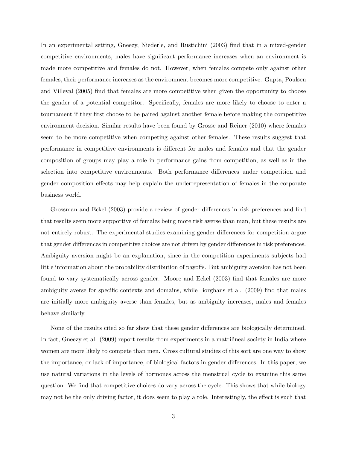In an experimental setting, Gneezy, Niederle, and Rustichini (2003) find that in a mixed-gender competitive environments, males have significant performance increases when an environment is made more competitive and females do not. However, when females compete only against other females, their performance increases as the environment becomes more competitive. Gupta, Poulsen and Villeval (2005) find that females are more competitive when given the opportunity to choose the gender of a potential competitor. Specifically, females are more likely to choose to enter a tournament if they first choose to be paired against another female before making the competitive environment decision. Similar results have been found by Grosse and Reiner (2010) where females seem to be more competitive when competing against other females. These results suggest that performance in competitive environments is different for males and females and that the gender composition of groups may play a role in performance gains from competition, as well as in the selection into competitive environments. Both performance differences under competition and gender composition effects may help explain the underrepresentation of females in the corporate business world.

Grossman and Eckel (2003) provide a review of gender differences in risk preferences and find that results seem more supportive of females being more risk averse than man, but these results are not entirely robust. The experimental studies examining gender differences for competition argue that gender differences in competitive choices are not driven by gender differences in risk preferences. Ambiguity aversion might be an explanation, since in the competition experiments subjects had little information about the probability distribution of payoffs. But ambiguity aversion has not been found to vary systematically across gender. Moore and Eckel (2003) find that females are more ambiguity averse for specific contexts and domains, while Borghans et al. (2009) find that males are initially more ambiguity averse than females, but as ambiguity increases, males and females behave similarly.

None of the results cited so far show that these gender differences are biologically determined. In fact, Gneezy et al.  $(2009)$  report results from experiments in a matrilineal society in India where women are more likely to compete than men. Cross cultural studies of this sort are one way to show the importance, or lack of importance, of biological factors in gender differences. In this paper, we use natural variations in the levels of hormones across the menstrual cycle to examine this same question. We find that competitive choices do vary across the cycle. This shows that while biology may not be the only driving factor, it does seem to play a role. Interestingly, the effect is such that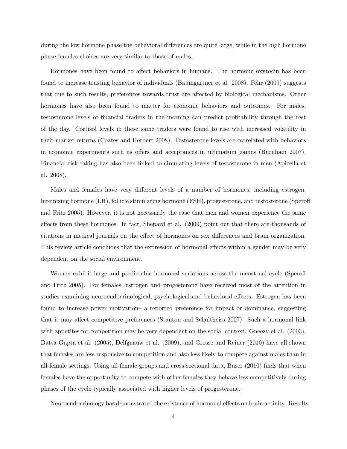during the low hormone phase the behavioral differences are quite large, while in the high hormone phase females choices are very similar to those of males.

Hormones have been found to affect behaviors in humans. The hormone oxytocin has been found to increase trusting behavior of individuals (Baumgartner et al. 2008). Fehr (2009) suggests that due to such results, preferences towards trust are affected by biological mechanisms. Other hormones have also been found to matter for economic behaviors and outcomes. For males, testosterone levels of financial traders in the morning can predict profitability through the rest of the day. Cortisol levels in these same traders were found to rise with increased volatility in their market returns (Coates and Herbert 2008). Testosterone levels are correlated with behaviors in economic experiments such as offers and acceptances in ultimatum games (Burnham 2007). Financial risk taking has also been linked to circulating levels of testosterone in men (Apicella et al. 2008).

Males and females have very different levels of a number of hormones, including estrogen, luteinizing hormone (LH), follicle stimulating hormone (FSH), progesterone, and testosterone (Speroff and Fritz 2005). However, it is not necessarily the case that men and women experience the same effects from these hormones. In fact, Shepard et al. (2009) point out that there are thousands of citations in medical journals on the effect of hormones on sex differences and brain organization. This review article concludes that the expression of hormonal effects within a gender may be very dependent on the social environment.

Women exhibit large and predictable hormonal variations across the menstrual cycle (Speroff and Fritz 2005). For females, estrogen and progesterone have received most of the attention in studies examining neuroendocrinological, psychological and behavioral effects. Estrogen has been found to increase power motivation– a reported preference for impact or dominance, suggesting that it may affect competitive preferences (Stanton and Schultheiss 2007). Such a hormonal link with appetites for competition may be very dependent on the social context. Gneezy et al. (2003), Datta Gupta et al. (2005), Delfgaauw et al. (2009), and Grosse and Reiner (2010) have all shown that females are less responsive to competition and also less likely to compete against males than in all-female settings. Using all-female groups and cross-sectional data, Buser (2010) finds that when females have the opportunity to compete with other females they behave less competitively during phases of the cycle typically associated with higher levels of progesterone.

Neuroendocrinology has demonstrated the existence of hormonal effects on brain activity. Results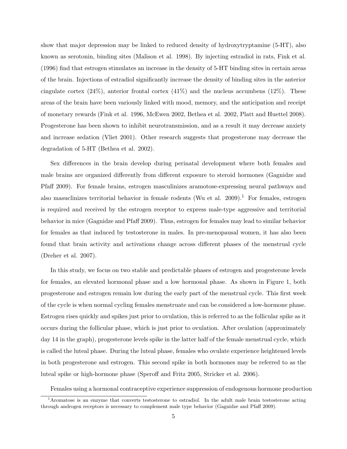show that major depression may be linked to reduced density of hydroxytryptamine (5-HT), also known as serotonin, binding sites (Malison et al. 1998). By injecting estradiol in rats, Fink et al. (1996) find that estrogen stimulates an increase in the density of 5-HT binding sites in certain areas of the brain. Injections of estradiol significantly increase the density of binding sites in the anterior cingulate cortex  $(24\%)$ , anterior frontal cortex  $(41\%)$  and the nucleus accumbens  $(12\%)$ . These areas of the brain have been variously linked with mood, memory, and the anticipation and receipt of monetary rewards (Fink et al. 1996, McEwen 2002, Bethea et al. 2002, Platt and Huettel 2008). Progesterone has been shown to inhibit neurotransmission, and as a result it may decrease anxiety and increase sedation (Vliet 2001). Other research suggests that progesterone may decrease the degradation of 5-HT (Bethea et al. 2002).

Sex differences in the brain develop during perinatal development where both females and male brains are organized differently from different exposure to steroid hormones (Gagnidze and Pfaff 2009). For female brains, estrogen masculinizes aramotose-expressing neural pathways and also masuclinizes territorial behavior in female rodents (Wu et al.  $2009$ ).<sup>1</sup> For females, estrogen is required and received by the estrogen receptor to express male-type aggressive and territorial behavior in mice (Gagnidze and Pfaff 2009). Thus, estrogen for females may lead to similar behavior for females as that induced by testosterone in males. In pre-menopausal women, it has also been found that brain activity and activations change across different phases of the menstrual cycle (Dreher et al. 2007).

In this study, we focus on two stable and predictable phases of estrogen and progesterone levels for females, an elevated hormonal phase and a low hormonal phase. As shown in Figure 1, both progesterone and estrogen remain low during the early part of the menstrual cycle. This first week of the cycle is when normal cycling females menstruate and can be considered a low-hormone phase. Estrogen rises quickly and spikes just prior to ovulation, this is referred to as the follicular spike as it occurs during the follicular phase, which is just prior to ovulation. After ovulation (approximately day 14 in the graph), progesterone levels spike in the latter half of the female menstrual cycle, which is called the luteal phase. During the luteal phase, females who ovulate experience heightened levels in both progesterone and estrogen. This second spike in both hormones may be referred to as the luteal spike or high-hormone phase (Speroff and Fritz 2005, Stricker et al. 2006).

Females using a hormonal contraceptive experience suppression of endogenous hormone production

<sup>&</sup>lt;sup>1</sup>Aromatose is an enzyme that converts testosterone to estradiol. In the adult male brain testosterone acting through androgen receptors is necessary to complement male type behavior (Gagnidze and Pfaff 2009).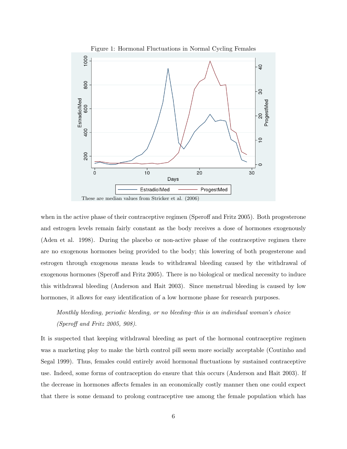

when in the active phase of their contraceptive regimen (Speroff and Fritz 2005). Both progesterone and estrogen levels remain fairly constant as the body receives a dose of hormones exogenously (Aden et al. 1998). During the placebo or non-active phase of the contraceptive regimen there are no exogenous hormones being provided to the body; this lowering of both progesterone and estrogen through exogenous means leads to withdrawal bleeding caused by the withdrawal of exogenous hormones (Speroff and Fritz 2005). There is no biological or medical necessity to induce this withdrawal bleeding (Anderson and Hait 2003). Since menstrual bleeding is caused by low hormones, it allows for easy identification of a low hormone phase for research purposes.

Monthly bleeding, periodic bleeding, or no bleeding–this is an individual woman's choice (Speroff and Fritz 2005, 908).

It is suspected that keeping withdrawal bleeding as part of the hormonal contraceptive regimen was a marketing ploy to make the birth control pill seem more socially acceptable (Coutinho and Segal 1999). Thus, females could entirely avoid hormonal fluctuations by sustained contraceptive use. Indeed, some forms of contraception do ensure that this occurs (Anderson and Hait 2003). If the decrease in hormones affects females in an economically costly manner then one could expect that there is some demand to prolong contraceptive use among the female population which has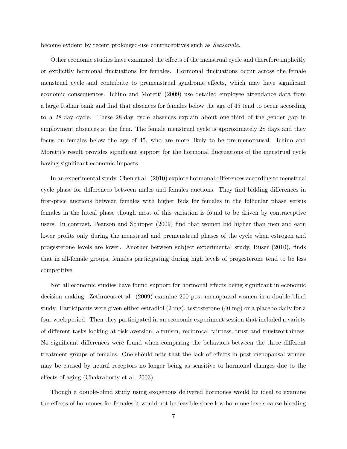become evident by recent prolonged-use contraceptives such as Seasonale.

Other economic studies have examined the effects of the menstrual cycle and therefore implicitly or explicitly hormonal fluctuations for females. Hormonal fluctuations occur across the female menstrual cycle and contribute to premenstrual syndrome effects, which may have significant economic consequences. Ichino and Moretti (2009) use detailed employee attendance data from a large Italian bank and find that absences for females below the age of 45 tend to occur according to a 28-day cycle. These 28-day cycle absences explain about one-third of the gender gap in employment absences at the firm. The female menstrual cycle is approximately 28 days and they focus on females below the age of 45, who are more likely to be pre-menopausal. Ichino and Moretti's result provides significant support for the hormonal fluctuations of the menstrual cycle having significant economic impacts.

In an experimental study, Chen et al. (2010) explore hormonal differences according to menstrual cycle phase for differences between males and females auctions. They find bidding differences in first-price auctions between females with higher bids for females in the follicular phase versus females in the luteal phase though most of this variation is found to be driven by contraceptive users. In contrast, Pearson and Schipper (2009) find that women bid higher than men and earn lower profits only during the menstrual and premenstrual phases of the cycle when estrogen and progesterone levels are lower. Another between subject experimental study, Buser (2010), finds that in all-female groups, females participating during high levels of progesterone tend to be less competitive.

Not all economic studies have found support for hormonal effects being significant in economic decision making. Zethraeus et al. (2009) examine 200 post-menopausal women in a double-blind study. Participants were given either estradiol (2 mg), testosterone (40 mg) or a placebo daily for a four week period. Then they participated in an economic experiment session that included a variety of different tasks looking at risk aversion, altruism, reciprocal fairness, trust and trustworthiness. No significant differences were found when comparing the behaviors between the three different treatment groups of females. One should note that the lack of effects in post-menopausal women may be caused by neural receptors no longer being as sensitive to hormonal changes due to the effects of aging (Chakraborty et al. 2003).

Though a double-blind study using exogenous delivered hormones would be ideal to examine the effects of hormones for females it would not be feasible since low hormone levels cause bleeding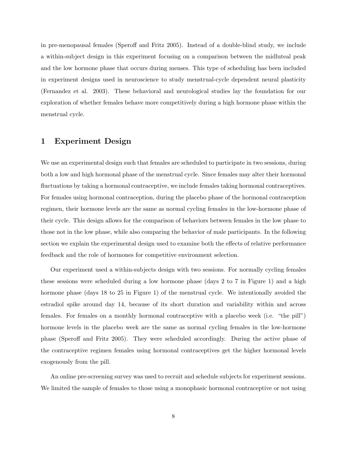in pre-menopausal females (Speroff and Fritz 2005). Instead of a double-blind study, we include a within-subject design in this experiment focusing on a comparison between the midluteal peak and the low hormone phase that occurs during menses. This type of scheduling has been included in experiment designs used in neuroscience to study menstrual-cycle dependent neural plasticity (Fernandez et al. 2003). These behavioral and neurological studies lay the foundation for our exploration of whether females behave more competitively during a high hormone phase within the menstrual cycle.

## 1 Experiment Design

We use an experimental design such that females are scheduled to participate in two sessions, during both a low and high hormonal phase of the menstrual cycle. Since females may alter their hormonal fluctuations by taking a hormonal contraceptive, we include females taking hormonal contraceptives. For females using hormonal contraception, during the placebo phase of the hormonal contraception regimen, their hormone levels are the same as normal cycling females in the low-hormone phase of their cycle. This design allows for the comparison of behaviors between females in the low phase to those not in the low phase, while also comparing the behavior of male participants. In the following section we explain the experimental design used to examine both the effects of relative performance feedback and the role of hormones for competitive environment selection.

Our experiment used a within-subjects design with two sessions. For normally cycling females these sessions were scheduled during a low hormone phase (days 2 to 7 in Figure 1) and a high hormone phase (days 18 to 25 in Figure 1) of the menstrual cycle. We intentionally avoided the estradiol spike around day 14, because of its short duration and variability within and across females. For females on a monthly hormonal contraceptive with a placebo week (i.e. "the pill") hormone levels in the placebo week are the same as normal cycling females in the low-hormone phase (Speroff and Fritz 2005). They were scheduled accordingly. During the active phase of the contraceptive regimen females using hormonal contraceptives get the higher hormonal levels exogenously from the pill.

An online pre-screening survey was used to recruit and schedule subjects for experiment sessions. We limited the sample of females to those using a monophasic hormonal contraceptive or not using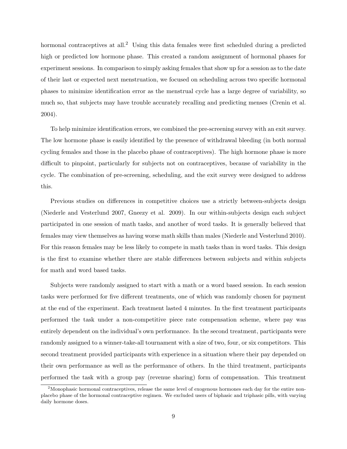hormonal contraceptives at all.<sup>2</sup> Using this data females were first scheduled during a predicted high or predicted low hormone phase. This created a random assignment of hormonal phases for experiment sessions. In comparison to simply asking females that show up for a session as to the date of their last or expected next menstruation, we focused on scheduling across two specific hormonal phases to minimize identification error as the menstrual cycle has a large degree of variability, so much so, that subjects may have trouble accurately recalling and predicting menses (Crenin et al. 2004).

To help minimize identification errors, we combined the pre-screening survey with an exit survey. The low hormone phase is easily identified by the presence of withdrawal bleeding (in both normal cycling females and those in the placebo phase of contraceptives). The high hormone phase is more difficult to pinpoint, particularly for subjects not on contraceptives, because of variability in the cycle. The combination of pre-screening, scheduling, and the exit survey were designed to address this.

Previous studies on differences in competitive choices use a strictly between-subjects design (Niederle and Vesterlund 2007, Gneezy et al. 2009). In our within-subjects design each subject participated in one session of math tasks, and another of word tasks. It is generally believed that females may view themselves as having worse math skills than males (Niederle and Vesterlund 2010). For this reason females may be less likely to compete in math tasks than in word tasks. This design is the first to examine whether there are stable differences between subjects and within subjects for math and word based tasks.

Subjects were randomly assigned to start with a math or a word based session. In each session tasks were performed for five different treatments, one of which was randomly chosen for payment at the end of the experiment. Each treatment lasted 4 minutes. In the first treatment participants performed the task under a non-competitive piece rate compensation scheme, where pay was entirely dependent on the individual's own performance. In the second treatment, participants were randomly assigned to a winner-take-all tournament with a size of two, four, or six competitors. This second treatment provided participants with experience in a situation where their pay depended on their own performance as well as the performance of others. In the third treatment, participants performed the task with a group pay (revenue sharing) form of compensation. This treatment

<sup>&</sup>lt;sup>2</sup>Monophasic hormonal contraceptives, release the same level of exogenous hormones each day for the entire nonplacebo phase of the hormonal contraceptive regimen. We excluded users of biphasic and triphasic pills, with varying daily hormone doses.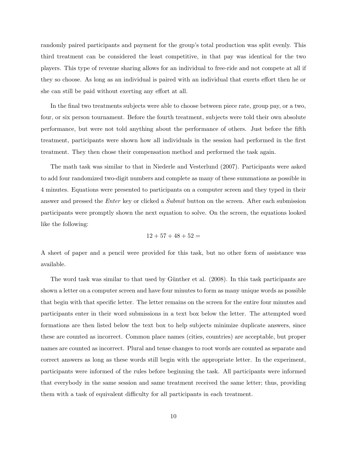randomly paired participants and payment for the group's total production was split evenly. This third treatment can be considered the least competitive, in that pay was identical for the two players. This type of revenue sharing allows for an individual to free-ride and not compete at all if they so choose. As long as an individual is paired with an individual that exerts effort then he or she can still be paid without exerting any effort at all.

In the final two treatments subjects were able to choose between piece rate, group pay, or a two, four, or six person tournament. Before the fourth treatment, subjects were told their own absolute performance, but were not told anything about the performance of others. Just before the fifth treatment, participants were shown how all individuals in the session had performed in the first treatment. They then chose their compensation method and performed the task again.

The math task was similar to that in Niederle and Vesterlund (2007). Participants were asked to add four randomized two-digit numbers and complete as many of these summations as possible in 4 minutes. Equations were presented to participants on a computer screen and they typed in their answer and pressed the *Enter* key or clicked a *Submit* button on the screen. After each submission participants were promptly shown the next equation to solve. On the screen, the equations looked like the following:

$$
12 + 57 + 48 + 52 =
$$

A sheet of paper and a pencil were provided for this task, but no other form of assistance was available.

The word task was similar to that used by Günther et al. (2008). In this task participants are shown a letter on a computer screen and have four minutes to form as many unique words as possible that begin with that specific letter. The letter remains on the screen for the entire four minutes and participants enter in their word submissions in a text box below the letter. The attempted word formations are then listed below the text box to help subjects minimize duplicate answers, since these are counted as incorrect. Common place names (cities, countries) are acceptable, but proper names are counted as incorrect. Plural and tense changes to root words are counted as separate and correct answers as long as these words still begin with the appropriate letter. In the experiment, participants were informed of the rules before beginning the task. All participants were informed that everybody in the same session and same treatment received the same letter; thus, providing them with a task of equivalent difficulty for all participants in each treatment.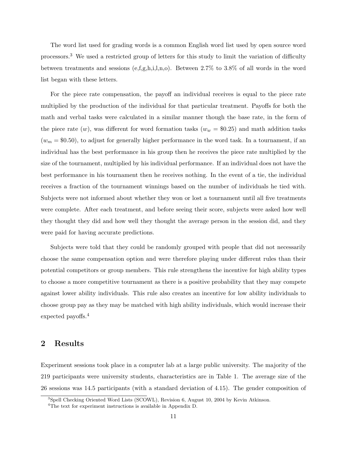The word list used for grading words is a common English word list used by open source word processors.<sup>3</sup> We used a restricted group of letters for this study to limit the variation of difficulty between treatments and sessions (e,f,g,h,i,l,n,o). Between 2.7% to 3.8% of all words in the word list began with these letters.

For the piece rate compensation, the payoff an individual receives is equal to the piece rate multiplied by the production of the individual for that particular treatment. Payoffs for both the math and verbal tasks were calculated in a similar manner though the base rate, in the form of the piece rate  $(w)$ , was different for word formation tasks  $(w_w = $0.25)$  and math addition tasks  $(w<sub>m</sub> = $0.50)$ , to adjust for generally higher performance in the word task. In a tournament, if an individual has the best performance in his group then he receives the piece rate multiplied by the size of the tournament, multiplied by his individual performance. If an individual does not have the best performance in his tournament then he receives nothing. In the event of a tie, the individual receives a fraction of the tournament winnings based on the number of individuals he tied with. Subjects were not informed about whether they won or lost a tournament until all five treatments were complete. After each treatment, and before seeing their score, subjects were asked how well they thought they did and how well they thought the average person in the session did, and they were paid for having accurate predictions.

Subjects were told that they could be randomly grouped with people that did not necessarily choose the same compensation option and were therefore playing under different rules than their potential competitors or group members. This rule strengthens the incentive for high ability types to choose a more competitive tournament as there is a positive probability that they may compete against lower ability individuals. This rule also creates an incentive for low ability individuals to choose group pay as they may be matched with high ability individuals, which would increase their expected payoffs.<sup>4</sup>

### 2 Results

Experiment sessions took place in a computer lab at a large public university. The majority of the 219 participants were university students, characteristics are in Table 1. The average size of the 26 sessions was 14.5 participants (with a standard deviation of 4.15). The gender composition of

<sup>3</sup>Spell Checking Oriented Word Lists (SCOWL), Revision 6, August 10, 2004 by Kevin Atkinson.

<sup>&</sup>lt;sup>4</sup>The text for experiment instructions is available in Appendix D.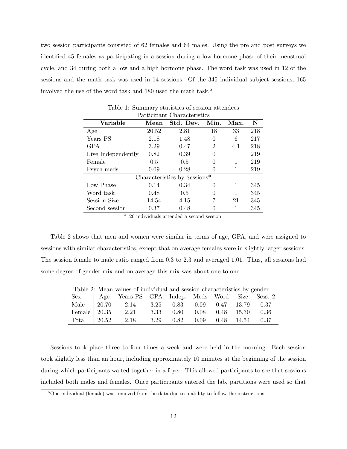two session participants consisted of 62 females and 64 males. Using the pre and post surveys we identified 45 females as participating in a session during a low-hormone phase of their menstrual cycle, and 34 during both a low and a high hormone phase. The word task was used in 12 of the sessions and the math task was used in 14 sessions. Of the 345 individual subject sessions, 165 involved the use of the word task and 180 used the math task.<sup>5</sup>

| <b>Table 1: Summary statistics of session attendees</b> |                             |                              |          |      |     |  |  |  |
|---------------------------------------------------------|-----------------------------|------------------------------|----------|------|-----|--|--|--|
|                                                         | Participant Characteristics |                              |          |      |     |  |  |  |
| <b>Variable</b>                                         | Mean                        | Std. Dev.                    | Min.     | Max. | N   |  |  |  |
| Age                                                     | 20.52                       | 2.81                         | 18       | 33   | 218 |  |  |  |
| Years PS                                                | 2.18                        | 1.48                         | 0        | 6    | 217 |  |  |  |
| GPA                                                     | 3.29                        | 0.47                         | 2        | 4.1  | 218 |  |  |  |
| Live Independently                                      | 0.82                        | 0.39                         | 0        | 1    | 219 |  |  |  |
| Female                                                  | 0.5                         | 0.5                          | 0        | 1    | 219 |  |  |  |
| Psych meds                                              | 0.09                        | 0.28                         | 0        | 1    | 219 |  |  |  |
|                                                         |                             | Characteristics by Sessions* |          |      |     |  |  |  |
| Low Phase                                               | 0.14                        | 0.34                         | $\Omega$ | 1    | 345 |  |  |  |
| Word task                                               | 0.48                        | 0.5                          | 0        | 1    | 345 |  |  |  |
| Session Size                                            | 14.54                       | 4.15                         | 7        | 21   | 345 |  |  |  |
| Second session                                          | 0.37                        | 0.48                         |          |      | 345 |  |  |  |

Table 1: Summary statistics of session attendees

\*126 individuals attended a second session.

Table 2 shows that men and women were similar in terms of age, GPA, and were assigned to sessions with similar characteristics, except that on average females were in slightly larger sessions. The session female to male ratio ranged from 0.3 to 2.3 and averaged 1.01. Thus, all sessions had some degree of gender mix and on average this mix was about one-to-one.

|                      | Table 2: Mean values of individual and session characteristics by gender. |                                            |                 |       |
|----------------------|---------------------------------------------------------------------------|--------------------------------------------|-----------------|-------|
| Sex                  | Age Years PS GPA Indep. Meds Word Size Sess. 2                            |                                            |                 |       |
|                      | Male 20.70 2.14                                                           | $3.25$ $0.83$ $0.09$ $0.47$ $13.79$ $0.37$ |                 |       |
| Female $\vert$ 20.35 | 2.21                                                                      | 3.33 0.80                                  | 0.08 0.48 15.30 | -0.36 |
| Total $\vert$ 20.52  | 2.18                                                                      | $3.29$ $0.82$ $0.09$ $0.48$ $14.54$ $0.37$ |                 |       |

Table 2: Mean values of individual and session characteristics by gender.

Sessions took place three to four times a week and were held in the morning. Each session took slightly less than an hour, including approximately 10 minutes at the beginning of the session during which participants waited together in a foyer. This allowed participants to see that sessions included both males and females. Once participants entered the lab, partitions were used so that

 $5$ One individual (female) was removed from the data due to inability to follow the instructions.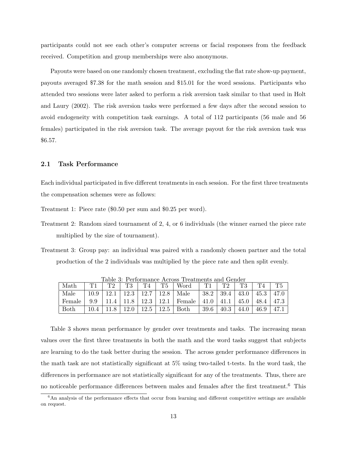participants could not see each other's computer screens or facial responses from the feedback received. Competition and group memberships were also anonymous.

Payouts were based on one randomly chosen treatment, excluding the flat rate show-up payment, payouts averaged \$7.38 for the math session and \$15.01 for the word sessions. Participants who attended two sessions were later asked to perform a risk aversion task similar to that used in Holt and Laury (2002). The risk aversion tasks were performed a few days after the second session to avoid endogeneity with competition task earnings. A total of 112 participants (56 male and 56 females) participated in the risk aversion task. The average payout for the risk aversion task was \$6.57.

### 2.1 Task Performance

Each individual participated in five different treatments in each session. For the first three treatments the compensation schemes were as follows:

Treatment 1: Piece rate (\$0.50 per sum and \$0.25 per word).

- Treatment 2: Random sized tournament of 2, 4, or 6 individuals (the winner earned the piece rate multiplied by the size of tournament).
- Treatment 3: Group pay: an individual was paired with a randomly chosen partner and the total production of the 2 individuals was multiplied by the piece rate and then split evenly.

|             | Table 3: Performance Across Treatments and Gender |      |      |      |      |        |      |      |      |      |      |
|-------------|---------------------------------------------------|------|------|------|------|--------|------|------|------|------|------|
| Math        |                                                   | ጥን   | Т3   | T4   | T5   | Word   |      | ጥን   |      | T A  |      |
| Male        | 10.9                                              | 12.1 | 12.3 | 12.7 | 12.8 | Male   | 38.2 | 39.4 | 43.0 | 45.3 | 47.0 |
| Female      | 9.9                                               |      | 11.8 | 12.3 | 12.1 | Female | 41.0 | 41.1 | 45.0 | 48.4 | 47.3 |
| <b>Both</b> | 10.4                                              |      | 12.0 | 12.5 | 12.5 | Both   | 39.6 | 40.3 | 44.0 | 46.9 | 47.1 |

Table 3 shows mean performance by gender over treatments and tasks. The increasing mean values over the first three treatments in both the math and the word tasks suggest that subjects are learning to do the task better during the session. The across gender performance differences in the math task are not statistically significant at 5% using two-tailed t-tests. In the word task, the differences in performance are not statistically significant for any of the treatments. Thus, there are no noticeable performance differences between males and females after the first treatment.<sup>6</sup> This

 $6$ An analysis of the performance effects that occur from learning and different competitive settings are available on request.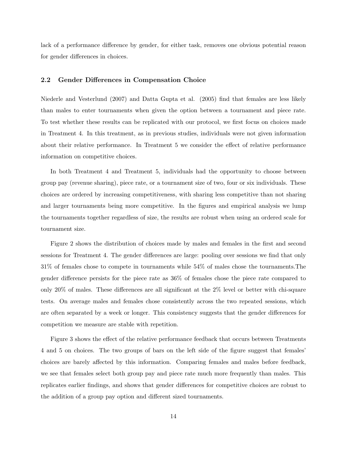lack of a performance difference by gender, for either task, removes one obvious potential reason for gender differences in choices.

### 2.2 Gender Differences in Compensation Choice

Niederle and Vesterlund (2007) and Datta Gupta et al. (2005) find that females are less likely than males to enter tournaments when given the option between a tournament and piece rate. To test whether these results can be replicated with our protocol, we first focus on choices made in Treatment 4. In this treatment, as in previous studies, individuals were not given information about their relative performance. In Treatment 5 we consider the effect of relative performance information on competitive choices.

In both Treatment 4 and Treatment 5, individuals had the opportunity to choose between group pay (revenue sharing), piece rate, or a tournament size of two, four or six individuals. These choices are ordered by increasing competitiveness, with sharing less competitive than not sharing and larger tournaments being more competitive. In the figures and empirical analysis we lump the tournaments together regardless of size, the results are robust when using an ordered scale for tournament size.

Figure 2 shows the distribution of choices made by males and females in the first and second sessions for Treatment 4. The gender differences are large: pooling over sessions we find that only 31% of females chose to compete in tournaments while 54% of males chose the tournaments.The gender difference persists for the piece rate as 36% of females chose the piece rate compared to only 20% of males. These differences are all significant at the 2% level or better with chi-square tests. On average males and females chose consistently across the two repeated sessions, which are often separated by a week or longer. This consistency suggests that the gender differences for competition we measure are stable with repetition.

Figure 3 shows the effect of the relative performance feedback that occurs between Treatments 4 and 5 on choices. The two groups of bars on the left side of the figure suggest that females' choices are barely affected by this information. Comparing females and males before feedback, we see that females select both group pay and piece rate much more frequently than males. This replicates earlier findings, and shows that gender differences for competitive choices are robust to the addition of a group pay option and different sized tournaments.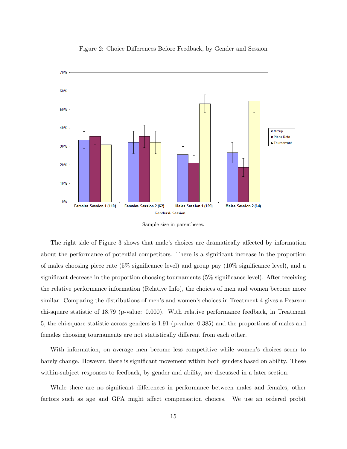

Figure 2: Choice Differences Before Feedback, by Gender and Session



The right side of Figure 3 shows that male's choices are dramatically affected by information about the performance of potential competitors. There is a significant increase in the proportion of males choosing piece rate (5% significance level) and group pay (10% significance level), and a significant decrease in the proportion choosing tournaments (5% significance level). After receiving the relative performance information (Relative Info), the choices of men and women become more similar. Comparing the distributions of men's and women's choices in Treatment 4 gives a Pearson chi-square statistic of 18.79 (p-value: 0.000). With relative performance feedback, in Treatment 5, the chi-square statistic across genders is 1.91 (p-value: 0.385) and the proportions of males and females choosing tournaments are not statistically different from each other.

With information, on average men become less competitive while women's choices seem to barely change. However, there is significant movement within both genders based on ability. These within-subject responses to feedback, by gender and ability, are discussed in a later section.

While there are no significant differences in performance between males and females, other factors such as age and GPA might affect compensation choices. We use an ordered probit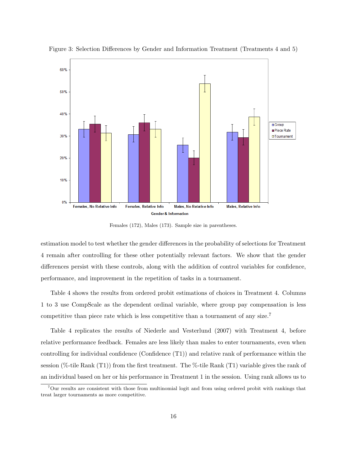

Figure 3: Selection Differences by Gender and Information Treatment (Treatments 4 and 5)

Females (172), Males (173). Sample size in parentheses.

estimation model to test whether the gender differences in the probability of selections for Treatment 4 remain after controlling for these other potentially relevant factors. We show that the gender differences persist with these controls, along with the addition of control variables for confidence, performance, and improvement in the repetition of tasks in a tournament.

Table 4 shows the results from ordered probit estimations of choices in Treatment 4. Columns 1 to 3 use CompScale as the dependent ordinal variable, where group pay compensation is less competitive than piece rate which is less competitive than a tournament of any size.<sup>7</sup>

Table 4 replicates the results of Niederle and Vesterlund (2007) with Treatment 4, before relative performance feedback. Females are less likely than males to enter tournaments, even when controlling for individual confidence (Confidence (T1)) and relative rank of performance within the session (%-tile Rank (T1)) from the first treatment. The %-tile Rank (T1) variable gives the rank of an individual based on her or his performance in Treatment 1 in the session. Using rank allows us to

<sup>7</sup>Our results are consistent with those from multinomial logit and from using ordered probit with rankings that treat larger tournaments as more competitive.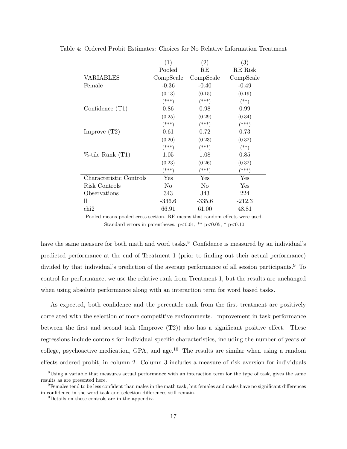|                         | (1)            | $\left( 2\right)$ | $\left( 3\right)$ |
|-------------------------|----------------|-------------------|-------------------|
|                         | Pooled         | RE                | RE Risk           |
| <b>VARIABLES</b>        | CompScale      | CompScale         | CompScale         |
| Female                  | $-0.36$        | $-0.40$           | $-0.49$           |
|                         | (0.13)         | (0.15)            | (0.19)            |
|                         | $^{***}$       | $(***)$           | $^{(**)}$         |
| Confidence $(T1)$       | 0.86           | 0.98              | 0.99              |
|                         | (0.25)         | (0.29)            | (0.34)            |
|                         | $(***)$        | $(***)$           | $(***)$           |
| Improve $(T2)$          | 0.61           | 0.72              | 0.73              |
|                         | (0.20)         | (0.23)            | (0.32)            |
|                         | $^{***}$       | $^{(***)}$        | $(**)$            |
| $%$ -tile Rank $(T1)$   | 1.05           | 1.08              | 0.85              |
|                         | (0.23)         | (0.26)            | (0.32)            |
|                         | $***)$         | $(***)$           | $(***)$           |
| Characteristic Controls | Yes            | Yes               | Yes               |
| Risk Controls           | N <sub>0</sub> | N <sub>0</sub>    | Yes               |
| Observations            | 343            | 343               | 224               |
| 11                      | $-336.6$       | $-335.6$          | $-212.3$          |
| chi2                    | 66.91          | 61.00             | 48.81             |

Table 4: Ordered Probit Estimates: Choices for No Relative Information Treatment

Pooled means pooled cross section. RE means that random effects were used. Standard errors in parentheses.  $p<0.01$ , \*\*  $p<0.05$ , \*  $p<0.10$ 

have the same measure for both math and word tasks.<sup>8</sup> Confidence is measured by an individual's predicted performance at the end of Treatment 1 (prior to finding out their actual performance) divided by that individual's prediction of the average performance of all session participants.<sup>9</sup> To control for performance, we use the relative rank from Treatment 1, but the results are unchanged when using absolute performance along with an interaction term for word based tasks.

As expected, both confidence and the percentile rank from the first treatment are positively correlated with the selection of more competitive environments. Improvement in task performance between the first and second task (Improve  $(T2)$ ) also has a significant positive effect. These regressions include controls for individual specific characteristics, including the number of years of college, psychoactive medication, GPA, and age. $^{10}$  The results are similar when using a random effects ordered probit, in column 2. Column 3 includes a measure of risk aversion for individuals

<sup>8</sup>Using a variable that measures actual performance with an interaction term for the type of task, gives the same results as are presented here.

<sup>9</sup>Females tend to be less confident than males in the math task, but females and males have no significant differences in confidence in the word task and selection differences still remain.

<sup>&</sup>lt;sup>10</sup>Details on these controls are in the appendix.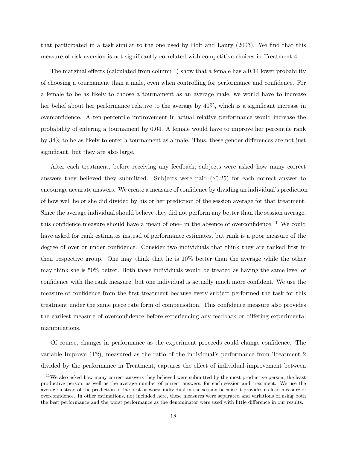that participated in a task similar to the one used by Holt and Laury (2003). We find that this measure of risk aversion is not significantly correlated with competitive choices in Treatment 4.

The marginal effects (calculated from column 1) show that a female has a 0.14 lower probability of choosing a tournament than a male, even when controlling for performance and confidence. For a female to be as likely to choose a tournament as an average male, we would have to increase her belief about her performance relative to the average by 40%, which is a significant increase in overconfidence. A ten-percentile improvement in actual relative performance would increase the probability of entering a tournament by 0.04. A female would have to improve her percentile rank by 34% to be as likely to enter a tournament as a male. Thus, these gender differences are not just significant, but they are also large.

After each treatment, before receiving any feedback, subjects were asked how many correct answers they believed they submitted. Subjects were paid (\$0.25) for each correct answer to encourage accurate answers. We create a measure of confidence by dividing an individual's prediction of how well he or she did divided by his or her prediction of the session average for that treatment. Since the average individual should believe they did not perform any better than the session average, this confidence measure should have a mean of one– in the absence of overconfidence.<sup>11</sup> We could have asked for rank estimates instead of performance estimates, but rank is a poor measure of the degree of over or under confidence. Consider two individuals that think they are ranked first in their respective group. One may think that he is 10% better than the average while the other may think she is 50% better. Both these individuals would be treated as having the same level of confidence with the rank measure, but one individual is actually much more confident. We use the measure of confidence from the first treatment because every subject performed the task for this treatment under the same piece rate form of compensation. This confidence measure also provides the earliest measure of overconfidence before experiencing any feedback or differing experimental manipulations.

Of course, changes in performance as the experiment proceeds could change confidence. The variable Improve (T2), measured as the ratio of the individual's performance from Treatment 2 divided by the performance in Treatment, captures the effect of individual improvement between

<sup>&</sup>lt;sup>11</sup>We also asked how many correct answers they believed were submitted by the most productive person, the least productive person, as well as the average number of correct answers, for each session and treatment. We use the average instead of the prediction of the best or worst individual in the session because it provides a clean measure of overconfidence. In other estimations, not included here, these measures were separated and variations of using both the best performance and the worst performance as the denominator were used with little difference in our results.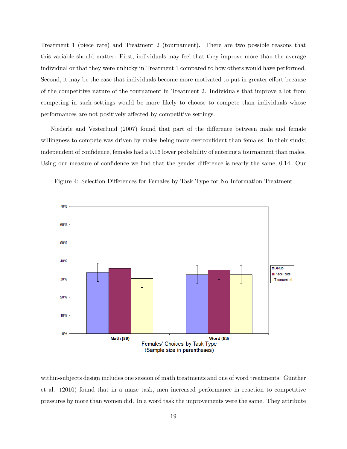Treatment 1 (piece rate) and Treatment 2 (tournament). There are two possible reasons that this variable should matter: First, individuals may feel that they improve more than the average individual or that they were unlucky in Treatment 1 compared to how others would have performed. Second, it may be the case that individuals become more motivated to put in greater effort because of the competitive nature of the tournament in Treatment 2. Individuals that improve a lot from competing in such settings would be more likely to choose to compete than individuals whose performances are not positively affected by competitive settings.

Niederle and Vesterlund (2007) found that part of the difference between male and female willingness to compete was driven by males being more overconfident than females. In their study, independent of confidence, females had a 0.16 lower probability of entering a tournament than males. Using our measure of confidence we find that the gender difference is nearly the same, 0.14. Our





within-subjects design includes one session of math treatments and one of word treatments. Günther et al. (2010) found that in a maze task, men increased performance in reaction to competitive pressures by more than women did. In a word task the improvements were the same. They attribute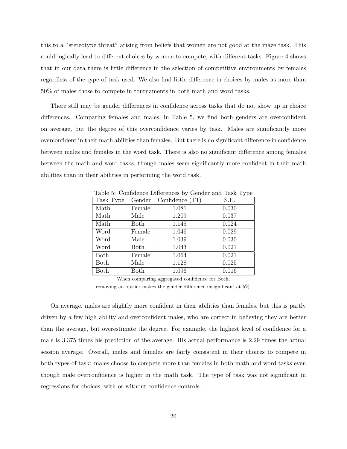this to a "stereotype threat" arising from beliefs that women are not good at the maze task. This could logically lead to different choices by women to compete, with different tasks. Figure 4 shows that in our data there is little difference in the selection of competitive environments by females regardless of the type of task used. We also find little difference in choices by males as more than 50% of males chose to compete in tournaments in both math and word tasks.

There still may be gender differences in confidence across tasks that do not show up in choice differences. Comparing females and males, in Table 5, we find both genders are overconfident on average, but the degree of this overconfidence varies by task. Males are significantly more overconfident in their math abilities than females. But there is no significant difference in confidence between males and females in the word task. There is also no significant difference among females between the math and word tasks, though males seem significantly more confident in their math abilities than in their abilities in performing the word task.

| Task Type | Gender | Confidence $(T1)$ | S.E.  |
|-----------|--------|-------------------|-------|
| Math      | Female | 1.081             | 0.030 |
| Math      | Male   | 1.209             | 0.037 |
| Math      | Both   | 1.145             | 0.024 |
| Word      | Female | 1.046             | 0.029 |
| Word      | Male   | 1.039             | 0.030 |
| Word      | Both   | 1.043             | 0.021 |
| Both      | Female | 1.064             | 0.021 |
| Both      | Male   | 1.128             | 0.025 |
| Both      | Both   | 1.096             | 0.016 |

Table 5: Confidence Differences by Gender and Task Type

When comparing aggregated confidence for Both,

removing an outlier makes the gender difference insignificant at 5%.

On average, males are slightly more confident in their abilities than females, but this is partly driven by a few high ability and overconfident males, who are correct in believing they are better than the average, but overestimate the degree. For example, the highest level of confidence for a male is 3.375 times his prediction of the average. His actual performance is 2.29 times the actual session average. Overall, males and females are fairly consistent in their choices to compete in both types of task: males choose to compete more than females in both math and word tasks even though male overconfidence is higher in the math task. The type of task was not significant in regressions for choices, with or without confidence controls.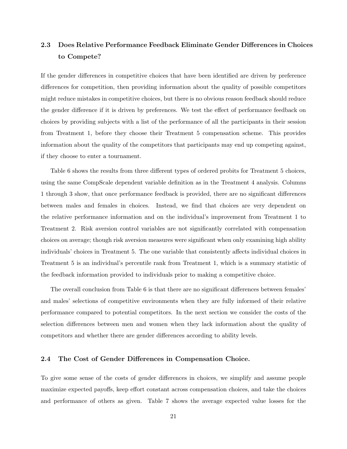## 2.3 Does Relative Performance Feedback Eliminate Gender Differences in Choices to Compete?

If the gender differences in competitive choices that have been identified are driven by preference differences for competition, then providing information about the quality of possible competitors might reduce mistakes in competitive choices, but there is no obvious reason feedback should reduce the gender difference if it is driven by preferences. We test the effect of performance feedback on choices by providing subjects with a list of the performance of all the participants in their session from Treatment 1, before they choose their Treatment 5 compensation scheme. This provides information about the quality of the competitors that participants may end up competing against, if they choose to enter a tournament.

Table 6 shows the results from three different types of ordered probits for Treatment 5 choices, using the same CompScale dependent variable definition as in the Treatment 4 analysis. Columns 1 through 3 show, that once performance feedback is provided, there are no significant differences between males and females in choices. Instead, we find that choices are very dependent on the relative performance information and on the individual's improvement from Treatment 1 to Treatment 2. Risk aversion control variables are not significantly correlated with compensation choices on average; though risk aversion measures were significant when only examining high ability individuals' choices in Treatment 5. The one variable that consistently affects individual choices in Treatment 5 is an individual's percentile rank from Treatment 1, which is a summary statistic of the feedback information provided to individuals prior to making a competitive choice.

The overall conclusion from Table 6 is that there are no significant differences between females' and males' selections of competitive environments when they are fully informed of their relative performance compared to potential competitors. In the next section we consider the costs of the selection differences between men and women when they lack information about the quality of competitors and whether there are gender differences according to ability levels.

### 2.4 The Cost of Gender Differences in Compensation Choice.

To give some sense of the costs of gender differences in choices, we simplify and assume people maximize expected payoffs, keep effort constant across compensation choices, and take the choices and performance of others as given. Table 7 shows the average expected value losses for the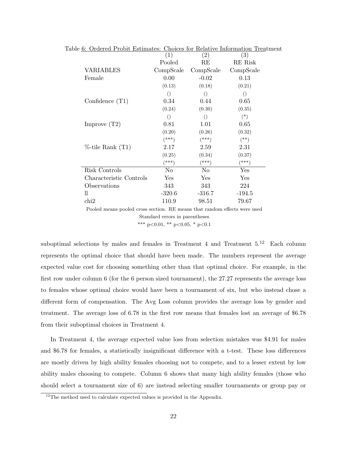| the original traditional commatter. Choices for relative information relating |                  |                   |                   |
|-------------------------------------------------------------------------------|------------------|-------------------|-------------------|
|                                                                               | (1)              | $\left( 2\right)$ | $\left( 3\right)$ |
|                                                                               | Pooled           | RE                | RE Risk           |
| <b>VARIABLES</b>                                                              | CompScale        | CompScale         | CompScale         |
| Female                                                                        | 0.00             | $-0.02$           | 0.13              |
|                                                                               | (0.13)           | (0.18)            | (0.21)            |
|                                                                               | $\left( \right)$ | $\left( \right)$  | $\left( \right)$  |
| Confidence $(T1)$                                                             | 0.34             | 0.44              | 0.65              |
|                                                                               | (0.24)           | (0.30)            | (0.35)            |
|                                                                               | $\left( \right)$ | $\bigcirc$        | $(*)$             |
| Improve $(T2)$                                                                | 0.81             | 1.01              | 0.65              |
|                                                                               | (0.20)           | (0.26)            | (0.32)            |
|                                                                               | $(***)$          | $(***)$           | $^{(*)}$          |
| $%$ -tile Rank $(T1)$                                                         | 2.17             | 2.59              | 2.31              |
|                                                                               | (0.25)           | (0.34)            | (0.37)            |
|                                                                               | (***)            | (***)             | (***)             |
| Risk Controls                                                                 | No               | N <sub>o</sub>    | Yes               |
| Characteristic Controls                                                       | Yes              | Yes               | Yes               |
| Observations                                                                  | 343              | 343               | 224               |
| 11                                                                            | $-320.6$         | $-316.7$          | $-194.5$          |
| $\chi$                                                                        | 110.9            | 98.51             | 79.67             |

Table 6: Ordered Probit Estimates: Choices for Relative Information Treatment

Pooled means pooled cross section. RE means that random effects were used Standard errors in parentheses \*\*\* p<0.01, \*\* p<0.05, \* p<0.1

suboptimal selections by males and females in Treatment 4 and Treatment  $5.^{12}$  Each column represents the optimal choice that should have been made. The numbers represent the average expected value cost for choosing something other than that optimal choice. For example, in the first row under column 6 (for the 6 person sized tournament), the 27.27 represents the average loss to females whose optimal choice would have been a tournament of six, but who instead chose a different form of compensation. The Avg Loss column provides the average loss by gender and treatment. The average loss of 6.78 in the first row means that females lost an average of \$6.78 from their suboptimal choices in Treatment 4.

In Treatment 4, the average expected value loss from selection mistakes was \$4.91 for males and \$6.78 for females, a statistically insignificant difference with a t-test. These loss differences are mostly driven by high ability females choosing not to compete, and to a lesser extent by low ability males choosing to compete. Column 6 shows that many high ability females (those who should select a tournament size of 6) are instead selecting smaller tournaments or group pay or

 $12$ <sup>12</sup>The method used to calculate expected values is provided in the Appendix.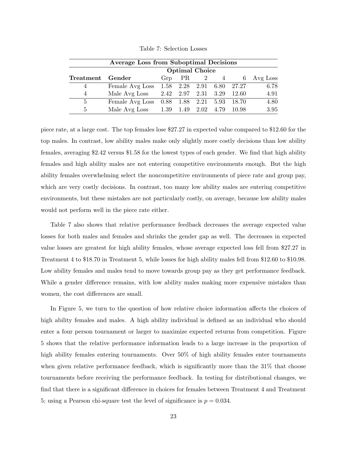| <b>Average Loss from Suboptimal Decisions</b> |                 |                       |                     |  |  |                           |            |  |
|-----------------------------------------------|-----------------|-----------------------|---------------------|--|--|---------------------------|------------|--|
|                                               |                 | <b>Optimal Choice</b> |                     |  |  |                           |            |  |
| Treatment Gender                              |                 |                       | $Grp$ PR 2 4        |  |  |                           | 6 Avg Loss |  |
| 4                                             | Female Avg Loss |                       |                     |  |  | 1.58 2.28 2.91 6.80 27.27 | 6.78       |  |
| 4                                             | Male Avg Loss   |                       | 2.42 2.97 2.31 3.29 |  |  | 12.60                     | 4.91       |  |
| $\overline{5}$                                | Female Avg Loss |                       |                     |  |  | 0.88 1.88 2.21 5.93 18.70 | 4.80       |  |
| $\frac{5}{2}$                                 | Male Avg Loss   |                       | 1.39 1.49 2.02 4.79 |  |  | - 10.98                   | 3.95       |  |

Table 7: Selection Losses

piece rate, at a large cost. The top females lose \$27.27 in expected value compared to \$12.60 for the top males. In contrast, low ability males make only slightly more costly decisions than low ability females, averaging \$2.42 versus \$1.58 for the lowest types of each gender. We find that high ability females and high ability males are not entering competitive environments enough. But the high ability females overwhelming select the noncompetitive environments of piece rate and group pay, which are very costly decisions. In contrast, too many low ability males are entering competitive environments, but these mistakes are not particularly costly, on average, because low ability males would not perform well in the piece rate either.

Table 7 also shows that relative performance feedback decreases the average expected value losses for both males and females and shrinks the gender gap as well. The decreases in expected value losses are greatest for high ability females, whose average expected loss fell from \$27.27 in Treatment 4 to \$18.70 in Treatment 5, while losses for high ability males fell from \$12.60 to \$10.98. Low ability females and males tend to move towards group pay as they get performance feedback. While a gender difference remains, with low ability males making more expensive mistakes than women, the cost differences are small.

In Figure 5, we turn to the question of how relative choice information affects the choices of high ability females and males. A high ability individual is defined as an individual who should enter a four person tournament or larger to maximize expected returns from competition. Figure 5 shows that the relative performance information leads to a large increase in the proportion of high ability females entering tournaments. Over 50% of high ability females enter tournaments when given relative performance feedback, which is significantly more than the  $31\%$  that choose tournaments before receiving the performance feedback. In testing for distributional changes, we find that there is a significant difference in choices for females between Treatment 4 and Treatment 5; using a Pearson chi-square test the level of significance is  $p = 0.034$ .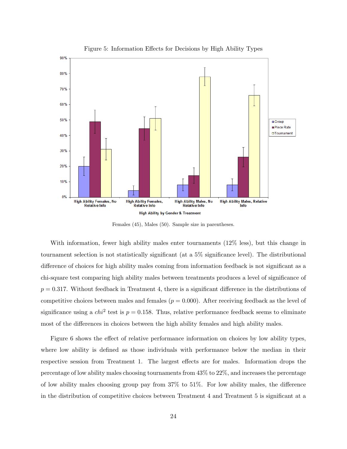

Figure 5: Information Effects for Decisions by High Ability Types

Females (45), Males (50). Sample size in parentheses.

With information, fewer high ability males enter tournaments (12% less), but this change in tournament selection is not statistically significant (at a 5% significance level). The distributional difference of choices for high ability males coming from information feedback is not significant as a chi-square test comparing high ability males between treatments produces a level of significance of  $p = 0.317$ . Without feedback in Treatment 4, there is a significant difference in the distributions of competitive choices between males and females  $(p = 0.000)$ . After receiving feedback as the level of significance using a  $chi^2$  test is  $p = 0.158$ . Thus, relative performance feedback seems to eliminate most of the differences in choices between the high ability females and high ability males.

Figure 6 shows the effect of relative performance information on choices by low ability types, where low ability is defined as those individuals with performance below the median in their respective session from Treatment 1. The largest effects are for males. Information drops the percentage of low ability males choosing tournaments from 43% to 22%, and increases the percentage of low ability males choosing group pay from 37% to 51%. For low ability males, the difference in the distribution of competitive choices between Treatment 4 and Treatment 5 is significant at a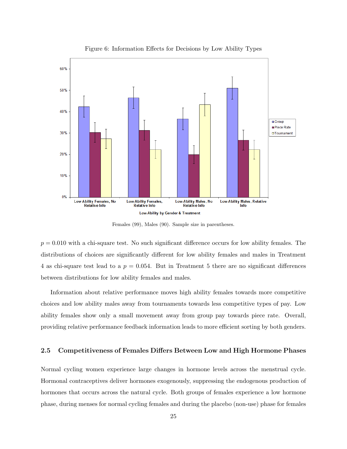

Figure 6: Information Effects for Decisions by Low Ability Types

Females (99), Males (90). Sample size in parentheses.

 $p = 0.010$  with a chi-square test. No such significant difference occurs for low ability females. The distributions of choices are significantly different for low ability females and males in Treatment 4 as chi-square test lead to a  $p = 0.054$ . But in Treatment 5 there are no significant differences between distributions for low ability females and males.

Information about relative performance moves high ability females towards more competitive choices and low ability males away from tournaments towards less competitive types of pay. Low ability females show only a small movement away from group pay towards piece rate. Overall, providing relative performance feedback information leads to more efficient sorting by both genders.

### 2.5 Competitiveness of Females Differs Between Low and High Hormone Phases

Normal cycling women experience large changes in hormone levels across the menstrual cycle. Hormonal contraceptives deliver hormones exogenously, suppressing the endogenous production of hormones that occurs across the natural cycle. Both groups of females experience a low hormone phase, during menses for normal cycling females and during the placebo (non-use) phase for females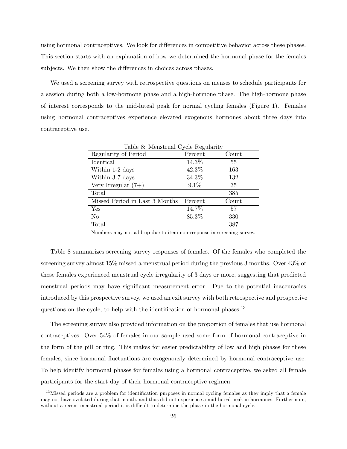using hormonal contraceptives. We look for differences in competitive behavior across these phases. This section starts with an explanation of how we determined the hormonal phase for the females subjects. We then show the differences in choices across phases.

We used a screening survey with retrospective questions on menses to schedule participants for a session during both a low-hormone phase and a high-hormone phase. The high-hormone phase of interest corresponds to the mid-luteal peak for normal cycling females (Figure 1). Females using hormonal contraceptives experience elevated exogenous hormones about three days into contraceptive use.

| Table 8: Menstrual Cycle Regularity |         |       |
|-------------------------------------|---------|-------|
| Regularity of Period                | Percent | Count |
| Identical                           | 14.3%   | 55    |
| Within 1-2 days                     | 42.3%   | 163   |
| Within 3-7 days                     | 34.3%   | 132   |
| Very Irregular $(7+)$               | $9.1\%$ | 35    |
| Total                               |         | 385   |
| Missed Period in Last 3 Months      | Percent | Count |
| Yes                                 | 14.7%   | 57    |
| No                                  | 85.3%   | 330   |
| Total                               |         | 387   |
|                                     |         |       |

 $T<sub>1</sub>1<sub>2</sub>$   $\Omega$ , Menstrual  $\Omega$ 

Table 8 summarizes screening survey responses of females. Of the females who completed the screening survey almost 15% missed a menstrual period during the previous 3 months. Over 43% of these females experienced menstrual cycle irregularity of 3 days or more, suggesting that predicted menstrual periods may have significant measurement error. Due to the potential inaccuracies introduced by this prospective survey, we used an exit survey with both retrospective and prospective questions on the cycle, to help with the identification of hormonal phases.<sup>13</sup>

The screening survey also provided information on the proportion of females that use hormonal contraceptives. Over 54% of females in our sample used some form of hormonal contraceptive in the form of the pill or ring. This makes for easier predictability of low and high phases for these females, since hormonal fluctuations are exogenously determined by hormonal contraceptive use. To help identify hormonal phases for females using a hormonal contraceptive, we asked all female participants for the start day of their hormonal contraceptive regimen.

Numbers may not add up due to item non-response in screening survey.

<sup>&</sup>lt;sup>13</sup>Missed periods are a problem for identification purposes in normal cycling females as they imply that a female may not have ovulated during that month, and thus did not experience a mid-luteal peak in hormones. Furthermore, without a recent menstrual period it is difficult to determine the phase in the hormonal cycle.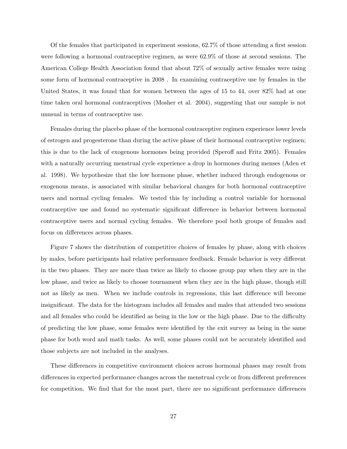Of the females that participated in experiment sessions, 62.7% of those attending a first session were following a hormonal contraceptive regimen, as were 62.9% of those at second sessions. The American College Health Association found that about 72% of sexually active females were using some form of hormonal contraceptive in 2008 . In examining contraceptive use by females in the United States, it was found that for women between the ages of 15 to 44, over 82% had at one time taken oral hormonal contraceptives (Mosher et al. 2004), suggesting that our sample is not unusual in terms of contraceptive use.

Females during the placebo phase of the hormonal contraceptive regimen experience lower levels of estrogen and progesterone than during the active phase of their hormonal contraceptive regimen; this is due to the lack of exogenous hormones being provided (Speroff and Fritz 2005). Females with a naturally occurring menstrual cycle experience a drop in hormones during menses (Aden et al. 1998). We hypothesize that the low hormone phase, whether induced through endogenous or exogenous means, is associated with similar behavioral changes for both hormonal contraceptive users and normal cycling females. We tested this by including a control variable for hormonal contraceptive use and found no systematic significant difference in behavior between hormonal contraceptive users and normal cycling females. We therefore pool both groups of females and focus on differences across phases.

Figure 7 shows the distribution of competitive choices of females by phase, along with choices by males, before participants had relative performance feedback. Female behavior is very different in the two phases. They are more than twice as likely to choose group pay when they are in the low phase, and twice as likely to choose tournament when they are in the high phase, though still not as likely as men. When we include controls in regressions, this last difference will become insignificant. The data for the histogram includes all females and males that attended two sessions and all females who could be identified as being in the low or the high phase. Due to the difficulty of predicting the low phase, some females were identified by the exit survey as being in the same phase for both word and math tasks. As well, some phases could not be accurately identified and those subjects are not included in the analyses.

These differences in competitive environment choices across hormonal phases may result from differences in expected performance changes across the menstrual cycle or from different preferences for competition. We find that for the most part, there are no significant performance differences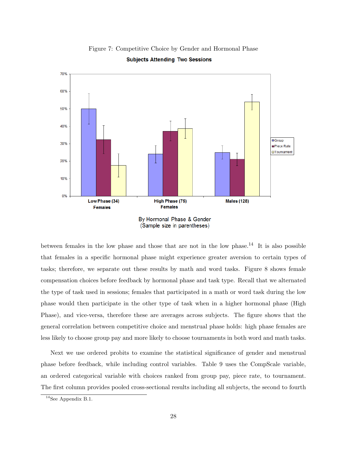

Figure 7: Competitive Choice by Gender and Hormonal Phase **Subjects Attending Two Sessions** 

between females in the low phase and those that are not in the low phase.<sup>14</sup> It is also possible that females in a specific hormonal phase might experience greater aversion to certain types of tasks; therefore, we separate out these results by math and word tasks. Figure 8 shows female compensation choices before feedback by hormonal phase and task type. Recall that we alternated the type of task used in sessions; females that participated in a math or word task during the low phase would then participate in the other type of task when in a higher hormonal phase (High Phase), and vice-versa, therefore these are averages across subjects. The figure shows that the general correlation between competitive choice and menstrual phase holds: high phase females are less likely to choose group pay and more likely to choose tournaments in both word and math tasks.

Next we use ordered probits to examine the statistical significance of gender and menstrual phase before feedback, while including control variables. Table 9 uses the CompScale variable, an ordered categorical variable with choices ranked from group pay, piece rate, to tournament. The first column provides pooled cross-sectional results including all subjects, the second to fourth

<sup>14</sup>See Appendix B.1.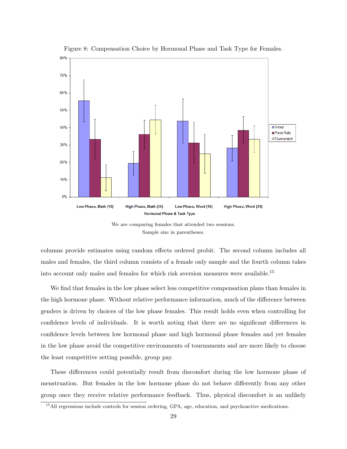

Figure 8: Compensation Choice by Hormonal Phase and Task Type for Females.

columns provide estimates using random effects ordered probit. The second column includes all males and females, the third column consists of a female only sample and the fourth column takes into account only males and females for which risk aversion measures were available.<sup>15</sup>

We find that females in the low phase select less competitive compensation plans than females in the high hormone phase. Without relative performance information, much of the difference between genders is driven by choices of the low phase females. This result holds even when controlling for confidence levels of individuals. It is worth noting that there are no significant differences in confidence levels between low hormonal phase and high hormonal phase females and yet females in the low phase avoid the competitive environments of tournaments and are more likely to choose the least competitive setting possible, group pay.

These differences could potentially result from discomfort during the low hormone phase of menstruation. But females in the low hormone phase do not behave differently from any other group once they receive relative performance feedback. Thus, physical discomfort is an unlikely

We are comparing females that attended two sessions. Sample size in parentheses.

<sup>&</sup>lt;sup>15</sup>All regressions include controls for session ordering, GPA, age, education, and psychoactive medications.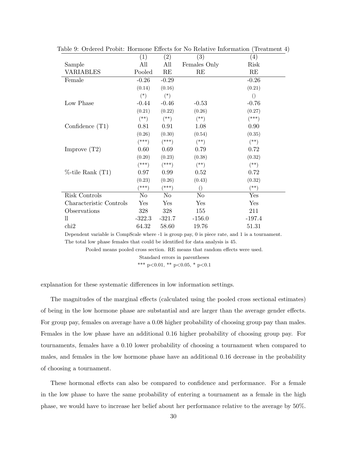|                         | (1)      | (2)      | (3)              | (4)             |
|-------------------------|----------|----------|------------------|-----------------|
| Sample                  | All      | All      | Females Only     | Risk            |
| VARIABLES               | Pooled   | RE       | RE               | RE              |
| Female                  | $-0.26$  | $-0.29$  |                  | $-0.26$         |
|                         | (0.14)   | (0.16)   |                  | (0.21)          |
|                         | $(*)$    | $(*)$    |                  | $\left(\right)$ |
| Low Phase               | $-0.44$  | $-0.46$  | $-0.53$          | $-0.76$         |
|                         | (0.21)   | (0.22)   | (0.26)           | (0.27)          |
|                         | $($ **)  | $(**)$   | $($ **)          | $(***)$         |
| Confidence $(T1)$       | 0.81     | 0.91     | 1.08             | 0.90            |
|                         | (0.26)   | (0.30)   | (0.54)           | (0.35)          |
|                         | $(***)$  | $(***)$  | $^{(*)}$         | $(*)$           |
| Improve $(T2)$          | 0.60     | 0.69     | 0.79             | 0.72            |
|                         | (0.20)   | (0.23)   | (0.38)           | (0.32)          |
|                         | $^{***}$ | $(***)$  | $(**)$           | $^{(*)}$        |
| $%$ -tile Rank $(T1)$   | 0.97     | 0.99     | 0.52             | 0.72            |
|                         | (0.23)   | (0.26)   | (0.43)           | (0.32)          |
|                         | $(***)$  | $(***)$  | $\left( \right)$ | $^{(**)}$       |
| Risk Controls           | No       | No       | No               | Yes             |
| Characteristic Controls | Yes      | Yes      | Yes              | Yes             |
| Observations            | 328      | 328      | 155              | 211             |
| 11                      | $-322.3$ | $-321.7$ | $-156.0$         | $-197.4$        |
| chi <sub>2</sub>        | 64.32    | 58.60    | 19.76            | 51.31           |

Table 9: Ordered Probit: Hormone Effects for No Relative Information (Treatment 4)

Dependent variable is CompScale where -1 is group pay, 0 is piece rate, and 1 is a tournament. The total low phase females that could be identified for data analysis is 45.

Pooled means pooled cross section. RE means that random effects were used.

Standard errors in parentheses

\*\*\* p<0.01, \*\* p<0.05, \* p<0.1

explanation for these systematic differences in low information settings.

The magnitudes of the marginal effects (calculated using the pooled cross sectional estimates) of being in the low hormone phase are substantial and are larger than the average gender effects. For group pay, females on average have a 0.08 higher probability of choosing group pay than males. Females in the low phase have an additional 0.16 higher probability of choosing group pay. For tournaments, females have a 0.10 lower probability of choosing a tournament when compared to males, and females in the low hormone phase have an additional 0.16 decrease in the probability of choosing a tournament.

These hormonal effects can also be compared to confidence and performance. For a female in the low phase to have the same probability of entering a tournament as a female in the high phase, we would have to increase her belief about her performance relative to the average by 50%.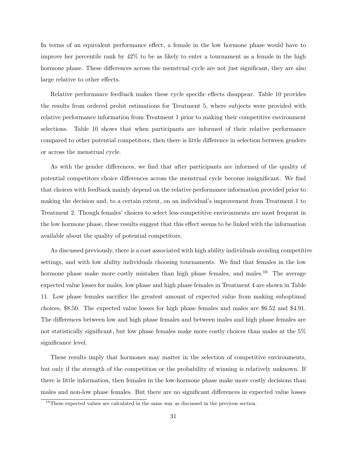In terms of an equivalent performance effect, a female in the low hormone phase would have to improve her percentile rank by 42% to be as likely to enter a tournament as a female in the high hormone phase. These differences across the menstrual cycle are not just significant, they are also large relative to other effects.

Relative performance feedback makes these cycle specific effects disappear. Table 10 provides the results from ordered probit estimations for Treatment 5, where subjects were provided with relative performance information from Treatment 1 prior to making their competitive environment selections. Table 10 shows that when participants are informed of their relative performance compared to other potential competitors, then there is little difference in selection between genders or across the menstrual cycle.

As with the gender differences, we find that after participants are informed of the quality of potential competitors choice differences across the menstrual cycle become insignificant. We find that choices with feedback mainly depend on the relative performance information provided prior to making the decision and, to a certain extent, on an individual's improvement from Treatment 1 to Treatment 2. Though females' choices to select less competitive environments are most frequent in the low hormone phase, these results suggest that this effect seems to be linked with the information available about the quality of potential competitors.

As discussed previously, there is a cost associated with high ability individuals avoiding competitive settings, and with low ability individuals choosing tournaments. We find that females in the low hormone phase make more costly mistakes than high phase females, and males.<sup>16</sup> The average expected value losses for males, low phase and high phase females in Treatment 4 are shown in Table 11. Low phase females sacrifice the greatest amount of expected value from making suboptimal choices, \$8.50. The expected value losses for high phase females and males are \$6.52 and \$4.91. The differences between low and high phase females and between males and high phase females are not statistically significant, but low phase females make more costly choices than males at the 5% significance level.

These results imply that hormones may matter in the selection of competitive environments, but only if the strength of the competition or the probability of winning is relatively unknown. If there is little information, then females in the low-hormone phase make more costly decisions than males and non-low phase females. But there are no significant differences in expected value losses

<sup>&</sup>lt;sup>16</sup>These expected values are calculated in the same way as discussed in the previous section.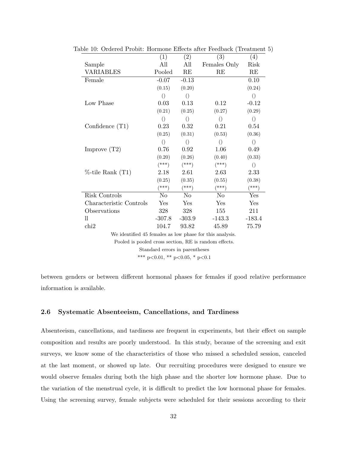|                                                         | (1)              | (2)             | (3)             | (4)              |  |  |  |  |
|---------------------------------------------------------|------------------|-----------------|-----------------|------------------|--|--|--|--|
| Sample                                                  | All              | All             | Females Only    | Risk             |  |  |  |  |
| <b>VARIABLES</b>                                        | Pooled           | RE              | RE              | RE               |  |  |  |  |
| Female                                                  | $-0.07$          | $-0.13$         |                 | 0.10             |  |  |  |  |
|                                                         | (0.15)           | (0.20)          |                 | (0.24)           |  |  |  |  |
|                                                         | $\left(\right)$  | $\left(\right)$ |                 | $\left( \right)$ |  |  |  |  |
| Low Phase                                               | 0.03             | 0.13            | 0.12            | $-0.12$          |  |  |  |  |
|                                                         | (0.21)           | (0.25)          | (0.27)          | (0.29)           |  |  |  |  |
|                                                         | $\left( \right)$ | $\left(\right)$ | $\left(\right)$ | $\left( \right)$ |  |  |  |  |
| Confidence $(T1)$                                       | 0.23             | 0.32            | 0.21            | 0.54             |  |  |  |  |
|                                                         | (0.25)           | (0.31)          | (0.53)          | (0.36)           |  |  |  |  |
|                                                         | $\left(\right)$  | $\left(\right)$ | $\left(\right)$ | $\left(\right)$  |  |  |  |  |
| Improve $(T2)$                                          | 0.76             | 0.92            | 1.06            | 0.49             |  |  |  |  |
|                                                         | (0.20)           | (0.26)          | (0.40)          | (0.33)           |  |  |  |  |
|                                                         | $(***)$          | $(***)$         | $(***)$         | $\left(\right)$  |  |  |  |  |
| $%$ -tile Rank $(T1)$                                   | 2.18             | 2.61            | 2.63            | 2.33             |  |  |  |  |
|                                                         | (0.25)           | (0.35)          | (0.55)          | (0.38)           |  |  |  |  |
|                                                         | $(***)$          | $(***)$         | $(***)$         | $(***)$          |  |  |  |  |
| Risk Controls                                           | N <sub>o</sub>   | N <sub>o</sub>  | No              | Yes              |  |  |  |  |
| Characteristic Controls                                 | Yes              | Yes             | Yes             | Yes              |  |  |  |  |
| Observations                                            | 328              | 328             | 155             | 211              |  |  |  |  |
| 11                                                      | $-307.8$         | $-303.9$        | $-143.3$        | $-183.4$         |  |  |  |  |
| chi2                                                    | 104.7            | 93.82           | 45.89           | 75.79            |  |  |  |  |
| We identified 45 females as low phase for this analysis |                  |                 |                 |                  |  |  |  |  |

Table 10: Ordered Probit: Hormone Effects after Feedback (Treatment 5)

We identified 45 females as low phase for this analysis.

Pooled is pooled cross section, RE is random effects.

Standard errors in parentheses

\*\*\* p<0.01, \*\* p<0.05, \* p<0.1

between genders or between different hormonal phases for females if good relative performance information is available.

### 2.6 Systematic Absenteeism, Cancellations, and Tardiness

Absenteeism, cancellations, and tardiness are frequent in experiments, but their effect on sample composition and results are poorly understood. In this study, because of the screening and exit surveys, we know some of the characteristics of those who missed a scheduled session, canceled at the last moment, or showed up late. Our recruiting procedures were designed to ensure we would observe females during both the high phase and the shorter low hormone phase. Due to the variation of the menstrual cycle, it is difficult to predict the low hormonal phase for females. Using the screening survey, female subjects were scheduled for their sessions according to their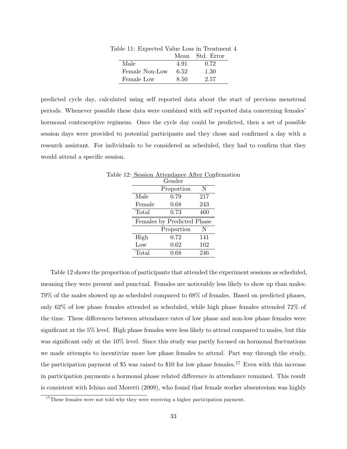| $\mu$ . The process that the post in treasure. |      | Mean Std. Error |
|------------------------------------------------|------|-----------------|
| Male                                           | 4.91 | 0.72            |
| Female Non-Low                                 | 6.52 | 1.30            |
| Female Low                                     | 8.50 | 2.57            |

Table 11: Expected Value Loss in Treatment 4

predicted cycle day, calculated using self reported data about the start of previous menstrual periods. Whenever possible these data were combined with self reported data concerning females' hormonal contraceptive regimens. Once the cycle day could be predicted, then a set of possible session days were provided to potential participants and they chose and confirmed a day with a research assistant. For individuals to be considered as scheduled, they had to confirm that they would attend a specific session.

|        | 12: Session Attendance After Confirm |     |  |
|--------|--------------------------------------|-----|--|
|        | Gender                               |     |  |
|        | Proportion                           | N   |  |
| Male   | 0.79                                 | 217 |  |
| Female | 0.68                                 | 243 |  |
| Total  | 0.73                                 | 460 |  |
|        | Females by Predicted Phase           |     |  |
|        | Proportion                           | N   |  |
| High   | 0.72                                 | 141 |  |
| Low    | $0.62\,$                             | 102 |  |
| Total  | 0.68                                 | 246 |  |
|        |                                      |     |  |

Table 12: Session Attendance After Confirmation

Table 12 shows the proportion of participants that attended the experiment sessions as scheduled, meaning they were present and punctual. Females are noticeably less likely to show up than males: 79% of the males showed up as scheduled compared to 68% of females. Based on predicted phases, only 62% of low phase females attended as scheduled, while high phase females attended 72% of the time. These differences between attendance rates of low phase and non-low phase females were significant at the 5% level. High phase females were less likely to attend compared to males, but this was significant only at the 10% level. Since this study was partly focused on hormonal fluctuations we made attempts to incentivize more low phase females to attend. Part way through the study, the participation payment of \$5 was raised to \$10 for low phase females.<sup>17</sup> Even with this increase in participation payments a hormonal phase related difference in attendance remained. This result is consistent with Ichino and Moretti (2009), who found that female worker absenteeism was highly

 $17$ These females were not told why they were receiving a higher participation payment.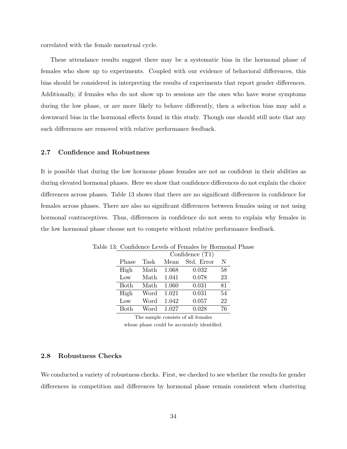correlated with the female menstrual cycle.

These attendance results suggest there may be a systematic bias in the hormonal phase of females who show up to experiments. Coupled with our evidence of behavioral differences, this bias should be considered in interpreting the results of experiments that report gender differences. Additionally, if females who do not show up to sessions are the ones who have worse symptoms during the low phase, or are more likely to behave differently, then a selection bias may add a downward bias in the hormonal effects found in this study. Though one should still note that any such differences are removed with relative performance feedback.

### 2.7 Confidence and Robustness

It is possible that during the low hormone phase females are not as confident in their abilities as during elevated hormonal phases. Here we show that confidence differences do not explain the choice differences across phases. Table 13 shows that there are no significant differences in confidence for females across phases. There are also no significant differences between females using or not using hormonal contraceptives. Thus, differences in confidence do not seem to explain why females in the low hormonal phase choose not to compete without relative performance feedback.

| $\alpha$ and $\alpha$ is the second of $\alpha$ is the second of $\alpha$ is the second of $\alpha$ |                   |       |            |    |  |  |  |
|-----------------------------------------------------------------------------------------------------|-------------------|-------|------------|----|--|--|--|
|                                                                                                     | Confidence $(T1)$ |       |            |    |  |  |  |
| Phase                                                                                               | Task              | Mean  | Std. Error | N  |  |  |  |
| High                                                                                                | Math              | 1.068 | 0.032      | 58 |  |  |  |
| Low                                                                                                 | Math              | 1.041 | 0.078      | 23 |  |  |  |
| <b>Both</b>                                                                                         | Math              | 1.060 | 0.031      | 81 |  |  |  |
| High                                                                                                | Word              | 1.021 | 0.031      | 54 |  |  |  |
| Low                                                                                                 | Word              | 1.042 | 0.057      | 22 |  |  |  |
| Both                                                                                                | Word              | 1.027 | 0.028      | 76 |  |  |  |

Table 13: Confidence Levels of Females by Hormonal Phase

The sample consists of all females

whose phase could be accurately identified.

### 2.8 Robustness Checks

We conducted a variety of robustness checks. First, we checked to see whether the results for gender differences in competition and differences by hormonal phase remain consistent when clustering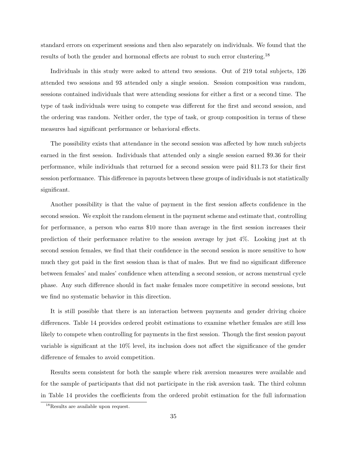standard errors on experiment sessions and then also separately on individuals. We found that the results of both the gender and hormonal effects are robust to such error clustering.<sup>18</sup>

Individuals in this study were asked to attend two sessions. Out of 219 total subjects, 126 attended two sessions and 93 attended only a single session. Session composition was random, sessions contained individuals that were attending sessions for either a first or a second time. The type of task individuals were using to compete was different for the first and second session, and the ordering was random. Neither order, the type of task, or group composition in terms of these measures had significant performance or behavioral effects.

The possibility exists that attendance in the second session was affected by how much subjects earned in the first session. Individuals that attended only a single session earned \$9.36 for their performance, while individuals that returned for a second session were paid \$11.73 for their first session performance. This difference in payouts between these groups of individuals is not statistically significant.

Another possibility is that the value of payment in the first session affects confidence in the second session. We exploit the random element in the payment scheme and estimate that, controlling for performance, a person who earns \$10 more than average in the first session increases their prediction of their performance relative to the session average by just 4%. Looking just at th second session females, we find that their confidence in the second session is more sensitive to how much they got paid in the first session than is that of males. But we find no significant difference between females' and males' confidence when attending a second session, or across menstrual cycle phase. Any such difference should in fact make females more competitive in second sessions, but we find no systematic behavior in this direction.

It is still possible that there is an interaction between payments and gender driving choice differences. Table 14 provides ordered probit estimations to examine whether females are still less likely to compete when controlling for payments in the first session. Though the first session payout variable is significant at the 10% level, its inclusion does not affect the significance of the gender difference of females to avoid competition.

Results seem consistent for both the sample where risk aversion measures were available and for the sample of participants that did not participate in the risk aversion task. The third column in Table 14 provides the coefficients from the ordered probit estimation for the full information

<sup>&</sup>lt;sup>18</sup>Results are available upon request.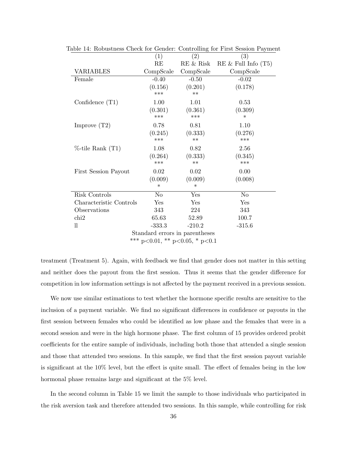|                                        | (1)            | ပ<br>(2)         | (3)                      |  |  |  |
|----------------------------------------|----------------|------------------|--------------------------|--|--|--|
|                                        | RE             | RE & Risk        | $RE \&$ Full Info $(T5)$ |  |  |  |
| VARIABLES                              | CompScale      | CompScale        | CompScale                |  |  |  |
| Female                                 | $-0.40$        | $-0.50$          | $-0.02$                  |  |  |  |
|                                        | (0.156)<br>*** | (0.201)<br>$***$ | (0.178)                  |  |  |  |
| Confidence $(T1)$                      | 1.00           | 1.01             | 0.53                     |  |  |  |
|                                        | (0.301)        | (0.361)          | (0.309)                  |  |  |  |
|                                        | ***            | ***              | $\ast$                   |  |  |  |
| Improve $(T2)$                         | 0.78           | 0.81             | 1.10                     |  |  |  |
|                                        | (0.245)        | (0.333)          | (0.276)                  |  |  |  |
|                                        | ***            | $***$            | ***                      |  |  |  |
| $%$ -tile Rank $(T1)$                  | 1.08           | 0.82             | 2.56                     |  |  |  |
|                                        | (0.264)        | (0.333)          | (0.345)                  |  |  |  |
|                                        | ***            | $**$             | ***                      |  |  |  |
| First Session Payout                   | 0.02           | 0.02             | 0.00                     |  |  |  |
|                                        | (0.009)        | (0.009)          | (0.008)                  |  |  |  |
|                                        | ∗              | ∗                |                          |  |  |  |
| Risk Controls                          | N <sub>o</sub> | Yes              | N <sub>o</sub>           |  |  |  |
| Characteristic Controls                | Yes            | Yes              | Yes                      |  |  |  |
| Observations                           | 343            | 224              | 343                      |  |  |  |
| $\chi$                                 | 65.63          | 52.89            | 100.7                    |  |  |  |
| 11                                     | $-333.3$       | $-210.2$         | $-315.6$                 |  |  |  |
| Standard errors in parentheses         |                |                  |                          |  |  |  |
| *** $p<0.01$ , ** $p<0.05$ , * $p<0.1$ |                |                  |                          |  |  |  |

Table 14: Robustness Check for Gender: Controlling for First Session Payment

treatment (Treatment 5). Again, with feedback we find that gender does not matter in this setting and neither does the payout from the first session. Thus it seems that the gender difference for competition in low information settings is not affected by the payment received in a previous session.

We now use similar estimations to test whether the hormone specific results are sensitive to the inclusion of a payment variable. We find no significant differences in confidence or payouts in the first session between females who could be identified as low phase and the females that were in a second session and were in the high hormone phase. The first column of 15 provides ordered probit coefficients for the entire sample of individuals, including both those that attended a single session and those that attended two sessions. In this sample, we find that the first session payout variable is significant at the 10% level, but the effect is quite small. The effect of females being in the low hormonal phase remains large and significant at the 5% level.

In the second column in Table 15 we limit the sample to those individuals who participated in the risk aversion task and therefore attended two sessions. In this sample, while controlling for risk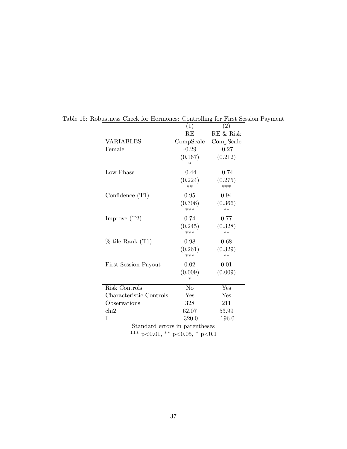|                                | (1)       | (2)       |  |  |  |
|--------------------------------|-----------|-----------|--|--|--|
|                                | RE        | RE & Risk |  |  |  |
| <b>VARIABLES</b>               | CompScale | CompScale |  |  |  |
| Female                         | $-0.29$   | $-0.27$   |  |  |  |
|                                | (0.167)   | (0.212)   |  |  |  |
|                                | $\ast$    |           |  |  |  |
| Low Phase                      | $-0.44$   | $-0.74$   |  |  |  |
|                                | (0.224)   | (0.275)   |  |  |  |
|                                | $**$      | ***       |  |  |  |
| Confidence $(T1)$              | 0.95      | 0.94      |  |  |  |
|                                | (0.306)   | (0.366)   |  |  |  |
|                                | $***$     | $**$      |  |  |  |
| Improve $(T2)$                 | 0.74      | 0.77      |  |  |  |
|                                | (0.245)   | (0.328)   |  |  |  |
|                                | ***       | $**$      |  |  |  |
| $%$ -tile Rank $(T1)$          | 0.98      | 0.68      |  |  |  |
|                                | (0.261)   | (0.329)   |  |  |  |
|                                | ***       | $**$      |  |  |  |
| <b>First Session Payout</b>    | 0.02      | 0.01      |  |  |  |
|                                | (0.009)   | (0.009)   |  |  |  |
|                                | $^\ast$   |           |  |  |  |
| Risk Controls                  | No        | Yes       |  |  |  |
| Characteristic Controls        | Yes       | Yes       |  |  |  |
| Observations                   | 328       | 211       |  |  |  |
| chi2                           | 62.07     | 53.99     |  |  |  |
| $_{\rm ll}$                    | $-320.0$  | $-196.0$  |  |  |  |
| Standard errors in parentheses |           |           |  |  |  |
| *** p<0.01, ** p<0.05, * p<0.1 |           |           |  |  |  |
|                                |           |           |  |  |  |

Table 15: Robustness Check for Hormones: Controlling for First Session Payment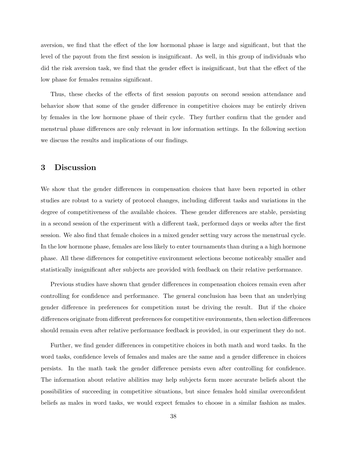aversion, we find that the effect of the low hormonal phase is large and significant, but that the level of the payout from the first session is insignificant. As well, in this group of individuals who did the risk aversion task, we find that the gender effect is insignificant, but that the effect of the low phase for females remains significant.

Thus, these checks of the effects of first session payouts on second session attendance and behavior show that some of the gender difference in competitive choices may be entirely driven by females in the low hormone phase of their cycle. They further confirm that the gender and menstrual phase differences are only relevant in low information settings. In the following section we discuss the results and implications of our findings.

### 3 Discussion

We show that the gender differences in compensation choices that have been reported in other studies are robust to a variety of protocol changes, including different tasks and variations in the degree of competitiveness of the available choices. These gender differences are stable, persisting in a second session of the experiment with a different task, performed days or weeks after the first session. We also find that female choices in a mixed gender setting vary across the menstrual cycle. In the low hormone phase, females are less likely to enter tournaments than during a a high hormone phase. All these differences for competitive environment selections become noticeably smaller and statistically insignificant after subjects are provided with feedback on their relative performance.

Previous studies have shown that gender differences in compensation choices remain even after controlling for confidence and performance. The general conclusion has been that an underlying gender difference in preferences for competition must be driving the result. But if the choice differences originate from different preferences for competitive environments, then selection differences should remain even after relative performance feedback is provided, in our experiment they do not.

Further, we find gender differences in competitive choices in both math and word tasks. In the word tasks, confidence levels of females and males are the same and a gender difference in choices persists. In the math task the gender difference persists even after controlling for confidence. The information about relative abilities may help subjects form more accurate beliefs about the possibilities of succeeding in competitive situations, but since females hold similar overconfident beliefs as males in word tasks, we would expect females to choose in a similar fashion as males.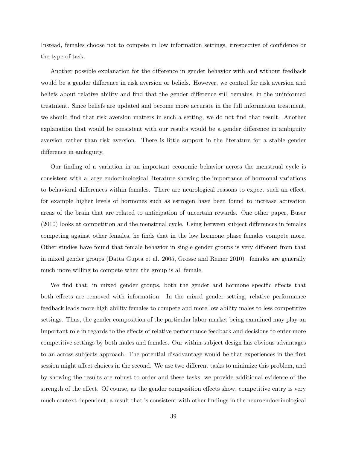Instead, females choose not to compete in low information settings, irrespective of confidence or the type of task.

Another possible explanation for the difference in gender behavior with and without feedback would be a gender difference in risk aversion or beliefs. However, we control for risk aversion and beliefs about relative ability and find that the gender difference still remains, in the uninformed treatment. Since beliefs are updated and become more accurate in the full information treatment, we should find that risk aversion matters in such a setting, we do not find that result. Another explanation that would be consistent with our results would be a gender difference in ambiguity aversion rather than risk aversion. There is little support in the literature for a stable gender difference in ambiguity.

Our finding of a variation in an important economic behavior across the menstrual cycle is consistent with a large endocrinological literature showing the importance of hormonal variations to behavioral differences within females. There are neurological reasons to expect such an effect, for example higher levels of hormones such as estrogen have been found to increase activation areas of the brain that are related to anticipation of uncertain rewards. One other paper, Buser (2010) looks at competition and the menstrual cycle. Using between subject differences in females competing against other females, he finds that in the low hormone phase females compete more. Other studies have found that female behavior in single gender groups is very different from that in mixed gender groups (Datta Gupta et al. 2005, Grosse and Reiner 2010)– females are generally much more willing to compete when the group is all female.

We find that, in mixed gender groups, both the gender and hormone specific effects that both effects are removed with information. In the mixed gender setting, relative performance feedback leads more high ability females to compete and more low ability males to less competitive settings. Thus, the gender composition of the particular labor market being examined may play an important role in regards to the effects of relative performance feedback and decisions to enter more competitive settings by both males and females. Our within-subject design has obvious advantages to an across subjects approach. The potential disadvantage would be that experiences in the first session might affect choices in the second. We use two different tasks to minimize this problem, and by showing the results are robust to order and these tasks, we provide additional evidence of the strength of the effect. Of course, as the gender composition effects show, competitive entry is very much context dependent, a result that is consistent with other findings in the neuroendocrinological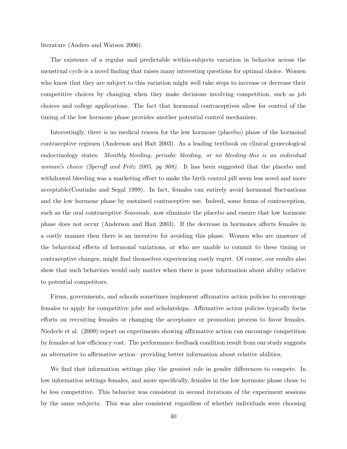literature (Anders and Watson 2006).

The existence of a regular and predictable within-subjects variation in behavior across the menstrual cycle is a novel finding that raises many interesting questions for optimal choice. Women who know that they are subject to this variation might well take steps to increase or decrease their competitive choices by changing when they make decisions involving competition, such as job choices and college applications. The fact that hormonal contraceptives allow for control of the timing of the low hormone phase provides another potential control mechanism.

Interestingly, there is no medical reason for the low hormone (placebo) phase of the hormonal contraceptive regimen (Anderson and Hait 2003). As a leading textbook on clinical gynecological endocrinology states: Monthly bleeding, periodic bleeding, or no bleeding–this is an individual woman's choice (Speroff and Fritz 2005, pg 908). It has been suggested that the placebo and withdrawal bleeding was a marketing effort to make the birth control pill seem less novel and more acceptable(Coutinho and Segal 1999). In fact, females can entirely avoid hormonal fluctuations and the low hormone phase by sustained contraceptive use. Indeed, some forms of contraception, such as the oral contraceptive *Seasonale*, now eliminate the placebo and ensure that low hormone phase does not occur (Anderson and Hait 2003). If the decrease in hormones affects females in a costly manner then there is an incentive for avoiding this phase. Women who are unaware of the behavioral effects of hormonal variations, or who are unable to commit to these timing or contraceptive changes, might find themselves experiencing costly regret. Of course, our results also show that such behaviors would only matter when there is poor information about ability relative to potential competitors.

Firms, governments, and schools sometimes implement affirmative action policies to encourage females to apply for competitive jobs and scholarships. Affirmative action policies typically focus efforts on recruiting females or changing the acceptance or promotion process to favor females. Niederle et al. (2009) report on experiments showing affirmative action can encourage competition by females at low efficiency cost. The performance feedback condition result from our study suggests an alternative to affirmative action– providing better information about relative abilities.

We find that information settings play the greatest role in gender differences to compete. In low information settings females, and more specifically, females in the low hormone phase chose to be less competitive. This behavior was consistent in second iterations of the experiment sessions by the same subjects. This was also consistent regardless of whether individuals were choosing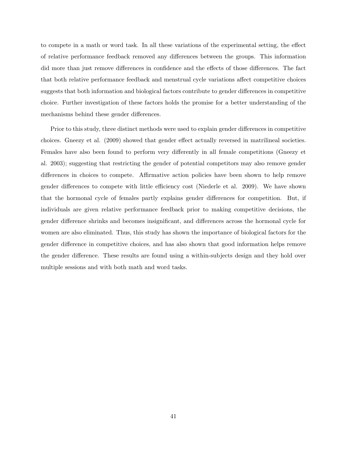to compete in a math or word task. In all these variations of the experimental setting, the effect of relative performance feedback removed any differences between the groups. This information did more than just remove differences in confidence and the effects of those differences. The fact that both relative performance feedback and menstrual cycle variations affect competitive choices suggests that both information and biological factors contribute to gender differences in competitive choice. Further investigation of these factors holds the promise for a better understanding of the mechanisms behind these gender differences.

Prior to this study, three distinct methods were used to explain gender differences in competitive choices. Gneezy et al. (2009) showed that gender effect actually reversed in matrilineal societies. Females have also been found to perform very differently in all female competitions (Gneezy et al. 2003); suggesting that restricting the gender of potential competitors may also remove gender differences in choices to compete. Affirmative action policies have been shown to help remove gender differences to compete with little efficiency cost (Niederle et al. 2009). We have shown that the hormonal cycle of females partly explains gender differences for competition. But, if individuals are given relative performance feedback prior to making competitive decisions, the gender difference shrinks and becomes insignificant, and differences across the hormonal cycle for women are also eliminated. Thus, this study has shown the importance of biological factors for the gender difference in competitive choices, and has also shown that good information helps remove the gender difference. These results are found using a within-subjects design and they hold over multiple sessions and with both math and word tasks.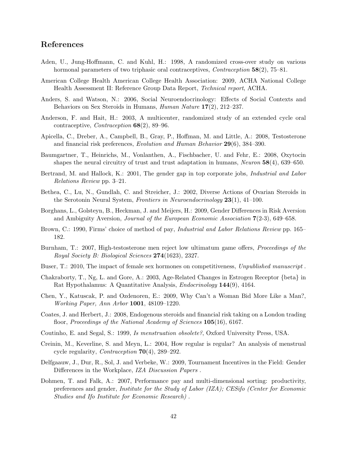## References

- Aden, U., Jung-Hoffmann, C. and Kuhl, H.: 1998, A randomized cross-over study on various hormonal parameters of two triphasic oral contraceptives, *Contraception* 58(2), 75–81.
- American College Health American College Health Association: 2009, ACHA National College Health Assessment II: Reference Group Data Report, Technical report, ACHA.
- Anders, S. and Watson, N.: 2006, Social Neuroendocrinology: Effects of Social Contexts and Behaviors on Sex Steroids in Humans, Human Nature 17(2), 212–237.
- Anderson, F. and Hait, H.: 2003, A multicenter, randomized study of an extended cycle oral contraceptive, *Contraception*  $68(2)$ , 89–96.
- Apicella, C., Dreber, A., Campbell, B., Gray, P., Hoffman, M. and Little, A.: 2008, Testosterone and financial risk preferences, Evolution and Human Behavior 29(6), 384–390.
- Baumgartner, T., Heinrichs, M., Vonlanthen, A., Fischbacher, U. and Fehr, E.: 2008, Oxytocin shapes the neural circuitry of trust and trust adaptation in humans, *Neuron*  $58(4)$ , 639–650.
- Bertrand, M. and Hallock, K.: 2001, The gender gap in top corporate jobs, *Industrial and Labor* Relations Review pp. 3–21.
- Bethea, C., Lu, N., Gundlah, C. and Streicher, J.: 2002, Diverse Actions of Ovarian Steroids in the Serotonin Neural System, Frontiers in Neuroendocrinology  $23(1)$ , 41–100.
- Borghans, L., Golsteyn, B., Heckman, J. and Meijers, H.: 2009, Gender Differences in Risk Aversion and Ambiguity Aversion, Journal of the European Economic Association 7(2-3), 649–658.
- Brown, C.: 1990, Firms' choice of method of pay, *Industrial and Labor Relations Review* pp. 165– 182.
- Burnham, T.: 2007, High-testosterone men reject low ultimatum game offers, *Proceedings of the* Royal Society B: Biological Sciences 274(1623), 2327.
- Buser, T.: 2010, The impact of female sex hormones on competitiveness, Unpublished manuscript .
- Chakraborty, T., Ng, L. and Gore, A.: 2003, Age-Related Changes in Estrogen Receptor {beta} in Rat Hypothalamus: A Quantitative Analysis, Endocrinology 144(9), 4164.
- Chen, Y., Katuscak, P. and Ozdenoren, E.: 2009, Why Can't a Woman Bid More Like a Man?, Working Paper, Ann Arbor 1001, 48109–1220.
- Coates, J. and Herbert, J.: 2008, Endogenous steroids and financial risk taking on a London trading floor, Proceedings of the National Academy of Sciences 105(16), 6167.
- Coutinho, E. and Segal, S.: 1999, Is menstruation obsolete?, Oxford University Press, USA.
- Creinin, M., Keverline, S. and Meyn, L.: 2004, How regular is regular? An analysis of menstrual cycle regularity, *Contraception*  $70(4)$ , 289–292.
- Delfgaauw, J., Dur, R., Sol, J. and Verbeke, W.: 2009, Tournament Incentives in the Field: Gender Differences in the Workplace, IZA Discussion Papers .
- Dohmen, T. and Falk, A.: 2007, Performance pay and multi-dimensional sorting: productivity, preferences and gender, Institute for the Study of Labor (IZA); CESifo (Center for Economic Studies and Ifo Institute for Economic Research) .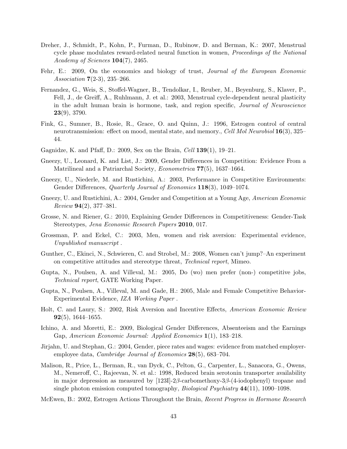- Dreher, J., Schmidt, P., Kohn, P., Furman, D., Rubinow, D. and Berman, K.: 2007, Menstrual cycle phase modulates reward-related neural function in women, *Proceedings of the National* Academy of Sciences **104**(7), 2465.
- Fehr, E.: 2009, On the economics and biology of trust, *Journal of the European Economic* Association 7(2-3), 235–266.
- Fernandez, G., Weis, S., Stoffel-Wagner, B., Tendolkar, I., Reuber, M., Beyenburg, S., Klaver, P., Fell, J., de Greiff, A., Ruhlmann, J. et al.: 2003, Menstrual cycle-dependent neural plasticity in the adult human brain is hormone, task, and region specific, Journal of Neuroscience 23(9), 3790.
- Fink, G., Sumner, B., Rosie, R., Grace, O. and Quinn, J.: 1996, Estrogen control of central neurotransmission: effect on mood, mental state, and memory., Cell Mol Neurobiol 16(3), 325– 44.
- Gagnidze, K. and Pfaff, D.: 2009, Sex on the Brain, Cell 139(1), 19–21.
- Gneezy, U., Leonard, K. and List, J.: 2009, Gender Differences in Competition: Evidence From a Matrilineal and a Patriarchal Society, Econometrica 77(5), 1637–1664.
- Gneezy, U., Niederle, M. and Rustichini, A.: 2003, Performance in Competitive Environments: Gender Differences, Quarterly Journal of Economics 118(3), 1049–1074.
- Gneezy, U. and Rustichini, A.: 2004, Gender and Competition at a Young Age, American Economic  $Review 94(2), 377-381.$
- Grosse, N. and Riener, G.: 2010, Explaining Gender Differences in Competitiveness: Gender-Task Stereotypes, Jena Economic Research Papers 2010, 017.
- Grossman, P. and Eckel, C.: 2003, Men, women and risk aversion: Experimental evidence, Unpublished manuscript .
- Gunther, C., Ekinci, N., Schwieren, C. and Strobel, M.: 2008, Women can't jump?–An experiment on competitive attitudes and stereotype threat, Technical report, Mimeo.
- Gupta, N., Poulsen, A. and Villeval, M.: 2005, Do (wo) men prefer (non-) competitive jobs, Technical report, GATE Working Paper.
- Gupta, N., Poulsen, A., Villeval, M. and Gade, H.: 2005, Male and Female Competitive Behavior-Experimental Evidence, IZA Working Paper .
- Holt, C. and Laury, S.: 2002, Risk Aversion and Incentive Effects, American Economic Review **92**(5), 1644–1655.
- Ichino, A. and Moretti, E.: 2009, Biological Gender Differences, Absenteeism and the Earnings Gap, American Economic Journal: Applied Economics 1(1), 183–218.
- Jirjahn, U. and Stephan, G.: 2004, Gender, piece rates and wages: evidence from matched employeremployee data, *Cambridge Journal of Economics* **28**(5), 683–704.
- Malison, R., Price, L., Berman, R., van Dyck, C., Pelton, G., Carpenter, L., Sanacora, G., Owens, M., Nemeroff, C., Rajeevan, N. et al.: 1998, Reduced brain serotonin transporter availability in major depression as measured by  $[1231]$ -2β-carbomethoxy-3β-(4-iodophenyl) tropane and single photon emission computed tomography, *Biological Psychiatry*  $44(11)$ , 1090–1098.
- McEwen, B.: 2002, Estrogen Actions Throughout the Brain, Recent Progress in Hormone Research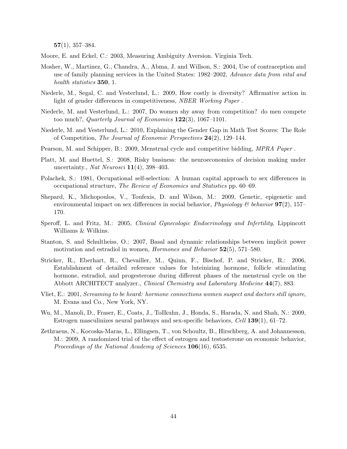$57(1), 357-384.$ 

Moore, E. and Eckel, C.: 2003, Measuring Ambiguity Aversion. Virginia Tech.

- Mosher, W., Martinez, G., Chandra, A., Abma, J. and Willson, S.: 2004, Use of contraception and use of family planning services in the United States: 1982–2002, Advance data from vital and health statistics **350**, 1.
- Niederle, M., Segal, C. and Vesterlund, L.: 2009, How costly is diversity? Affirmative action in light of gender differences in competitiveness, NBER Working Paper .
- Niederle, M. and Vesterlund, L.: 2007, Do women shy away from competition? do men compete too much?, Quarterly Journal of Economics  $122(3)$ , 1067–1101.
- Niederle, M. and Vesterlund, L.: 2010, Explaining the Gender Gap in Math Test Scores: The Role of Competition, The Journal of Economic Perspectives 24(2), 129–144.
- Pearson, M. and Schipper, B.: 2009, Menstrual cycle and competitive bidding, MPRA Paper.
- Platt, M. and Huettel, S.: 2008, Risky business: the neuroeconomics of decision making under uncertainty., Nat Neurosci  $11(4)$ , 398-403.
- Polachek, S.: 1981, Occupational self-selection: A human capital approach to sex differences in occupational structure, The Review of Economics and Statistics pp. 60–69.
- Shepard, K., Michopoulos, V., Toufexis, D. and Wilson, M.: 2009, Genetic, epigenetic and environmental impact on sex differences in social behavior, *Physiology* & behavior  $97(2)$ , 157– 170.
- Speroff, L. and Fritz, M.: 2005, *Clinical Gynecologic Endocrinology and Infertility*, Lippincott Williams & Wilkins.
- Stanton, S. and Schultheiss, O.: 2007, Basal and dynamic relationships between implicit power motivation and estradiol in women, *Hormones and Behavior* 52(5), 571–580.
- Stricker, R., Eberhart, R., Chevailler, M., Quinn, F., Bischof, P. and Stricker, R.: 2006, Establishment of detailed reference values for luteinizing hormone, follicle stimulating hormone, estradiol, and progesterone during different phases of the menstrual cycle on the Abbott ARCHITECT analyzer., Clinical Chemistry and Laboratory Medicine 44(7), 883.
- Vliet, E.: 2001, Screaming to be heard: hormone connections women suspect and doctors still ignore, M. Evans and Co., New York, NY.
- Wu, M., Manoli, D., Fraser, E., Coats, J., Tollkuhn, J., Honda, S., Harada, N. and Shah, N.: 2009, Estrogen masculinizes neural pathways and sex-specific behaviors, Cell 139(1), 61–72.
- Zethraeus, N., Kocoska-Maras, L., Ellingsen, T., von Schoultz, B., Hirschberg, A. and Johannesson, M.: 2009, A randomized trial of the effect of estrogen and testosterone on economic behavior, Proceedings of the National Academy of Sciences  $106(16)$ , 6535.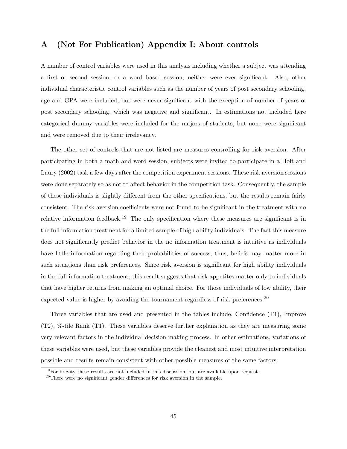## A (Not For Publication) Appendix I: About controls

A number of control variables were used in this analysis including whether a subject was attending a first or second session, or a word based session, neither were ever significant. Also, other individual characteristic control variables such as the number of years of post secondary schooling, age and GPA were included, but were never significant with the exception of number of years of post secondary schooling, which was negative and significant. In estimations not included here categorical dummy variables were included for the majors of students, but none were significant and were removed due to their irrelevancy.

The other set of controls that are not listed are measures controlling for risk aversion. After participating in both a math and word session, subjects were invited to participate in a Holt and Laury (2002) task a few days after the competition experiment sessions. These risk aversion sessions were done separately so as not to affect behavior in the competition task. Consequently, the sample of these individuals is slightly different from the other specifications, but the results remain fairly consistent. The risk aversion coefficients were not found to be significant in the treatment with no relative information feedback.<sup>19</sup> The only specification where these measures are significant is in the full information treatment for a limited sample of high ability individuals. The fact this measure does not significantly predict behavior in the no information treatment is intuitive as individuals have little information regarding their probabilities of success; thus, beliefs may matter more in such situations than risk preferences. Since risk aversion is significant for high ability individuals in the full information treatment; this result suggests that risk appetites matter only to individuals that have higher returns from making an optimal choice. For those individuals of low ability, their expected value is higher by avoiding the tournament regardless of risk preferences.<sup>20</sup>

Three variables that are used and presented in the tables include, Confidence (T1), Improve (T2), %-tile Rank (T1). These variables deserve further explanation as they are measuring some very relevant factors in the individual decision making process. In other estimations, variations of these variables were used, but these variables provide the cleanest and most intuitive interpretation possible and results remain consistent with other possible measures of the same factors.

 $19$ For brevity these results are not included in this discussion, but are available upon request.

<sup>&</sup>lt;sup>20</sup>There were no significant gender differences for risk aversion in the sample.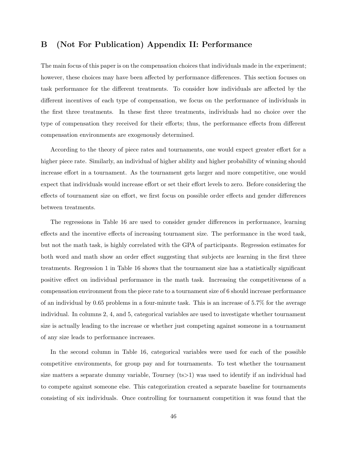## B (Not For Publication) Appendix II: Performance

The main focus of this paper is on the compensation choices that individuals made in the experiment; however, these choices may have been affected by performance differences. This section focuses on task performance for the different treatments. To consider how individuals are affected by the different incentives of each type of compensation, we focus on the performance of individuals in the first three treatments. In these first three treatments, individuals had no choice over the type of compensation they received for their efforts; thus, the performance effects from different compensation environments are exogenously determined.

According to the theory of piece rates and tournaments, one would expect greater effort for a higher piece rate. Similarly, an individual of higher ability and higher probability of winning should increase effort in a tournament. As the tournament gets larger and more competitive, one would expect that individuals would increase effort or set their effort levels to zero. Before considering the effects of tournament size on effort, we first focus on possible order effects and gender differences between treatments.

The regressions in Table 16 are used to consider gender differences in performance, learning effects and the incentive effects of increasing tournament size. The performance in the word task, but not the math task, is highly correlated with the GPA of participants. Regression estimates for both word and math show an order effect suggesting that subjects are learning in the first three treatments. Regression 1 in Table 16 shows that the tournament size has a statistically significant positive effect on individual performance in the math task. Increasing the competitiveness of a compensation environment from the piece rate to a tournament size of 6 should increase performance of an individual by 0.65 problems in a four-minute task. This is an increase of 5.7% for the average individual. In columns 2, 4, and 5, categorical variables are used to investigate whether tournament size is actually leading to the increase or whether just competing against someone in a tournament of any size leads to performance increases.

In the second column in Table 16, categorical variables were used for each of the possible competitive environments, for group pay and for tournaments. To test whether the tournament size matters a separate dummy variable, Tourney (ts>1) was used to identify if an individual had to compete against someone else. This categorization created a separate baseline for tournaments consisting of six individuals. Once controlling for tournament competition it was found that the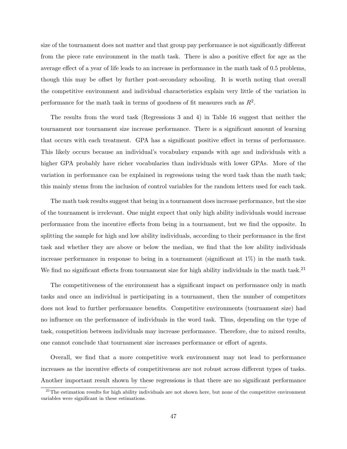size of the tournament does not matter and that group pay performance is not significantly different from the piece rate environment in the math task. There is also a positive effect for age as the average effect of a year of life leads to an increase in performance in the math task of 0.5 problems, though this may be offset by further post-secondary schooling. It is worth noting that overall the competitive environment and individual characteristics explain very little of the variation in performance for the math task in terms of goodness of fit measures such as  $R^2$ .

The results from the word task (Regressions 3 and 4) in Table 16 suggest that neither the tournament nor tournament size increase performance. There is a significant amount of learning that occurs with each treatment. GPA has a significant positive effect in terms of performance. This likely occurs because an individual's vocabulary expands with age and individuals with a higher GPA probably have richer vocabularies than individuals with lower GPAs. More of the variation in performance can be explained in regressions using the word task than the math task; this mainly stems from the inclusion of control variables for the random letters used for each task.

The math task results suggest that being in a tournament does increase performance, but the size of the tournament is irrelevant. One might expect that only high ability individuals would increase performance from the incentive effects from being in a tournament, but we find the opposite. In splitting the sample for high and low ability individuals, according to their performance in the first task and whether they are above or below the median, we find that the low ability individuals increase performance in response to being in a tournament (significant at 1%) in the math task. We find no significant effects from tournament size for high ability individuals in the math task.<sup>21</sup>

The competitiveness of the environment has a significant impact on performance only in math tasks and once an individual is participating in a tournament, then the number of competitors does not lead to further performance benefits. Competitive environments (tournament size) had no influence on the performance of individuals in the word task. Thus, depending on the type of task, competition between individuals may increase performance. Therefore, due to mixed results, one cannot conclude that tournament size increases performance or effort of agents.

Overall, we find that a more competitive work environment may not lead to performance increases as the incentive effects of competitiveness are not robust across different types of tasks. Another important result shown by these regressions is that there are no significant performance

 $21$ The estimation results for high ability individuals are not shown here, but none of the competitive environment variables were significant in these estimations.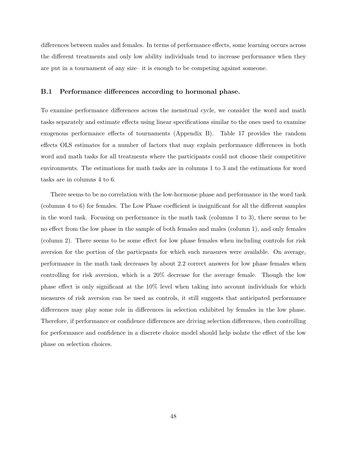differences between males and females. In terms of performance effects, some learning occurs across the different treatments and only low ability individuals tend to increase performance when they are put in a tournament of any size– it is enough to be competing against someone.

### B.1 Performance differences according to hormonal phase.

To examine performance differences across the menstrual cycle, we consider the word and math tasks separately and estimate effects using linear specifications similar to the ones used to examine exogenous performance effects of tournaments (Appendix B). Table 17 provides the random effects OLS estimates for a number of factors that may explain performance differences in both word and math tasks for all treatments where the participants could not choose their competitive environments. The estimations for math tasks are in columns 1 to 3 and the estimations for word tasks are in columns 4 to 6.

There seems to be no correlation with the low-hormone phase and performance in the word task (columns 4 to 6) for females. The Low Phase coefficient is insignificant for all the different samples in the word task. Focusing on performance in the math task (columns 1 to 3), there seems to be no effect from the low phase in the sample of both females and males (column 1), and only females (column 2). There seems to be some effect for low phase females when including controls for risk aversion for the portion of the particpants for which such measures were available. On average, performance in the math task decreases by about 2.2 correct answers for low phase females when controlling for risk aversion, which is a 20% decrease for the average female. Though the low phase effect is only significant at the 10% level when taking into account individuals for which measures of risk aversion can be used as controls, it still suggests that anticipated performance differences may play some role in differences in selection exhibited by females in the low phase. Therefore, if performance or confidence differences are driving selection differences, then controlling for performance and confidence in a discrete choice model should help isolate the effect of the low phase on selection choices.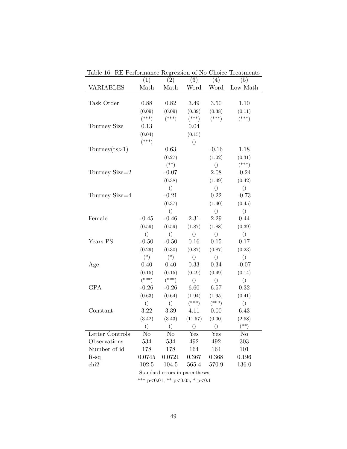| Table 10. It I chommance hegression of 110 Choice Heathletitis | (1)                            | (2)              | (3)              | $\overline{(4)}$ | (5)                       |  |
|----------------------------------------------------------------|--------------------------------|------------------|------------------|------------------|---------------------------|--|
| <b>VARIABLES</b>                                               | Math                           | Math             | Word             | Word             | $\operatorname{Low}$ Math |  |
|                                                                |                                |                  |                  |                  |                           |  |
| Task Order                                                     | 0.88                           | 0.82             | 3.49             | 3.50             | 1.10                      |  |
|                                                                | (0.09)                         | (0.09)           | (0.39)           | (0.38)           | (0.11)                    |  |
|                                                                | $(***)$                        | $(***)$          | $(***)$          | $(***)$          | $(***)$                   |  |
| Tourney Size                                                   | 0.13                           |                  | 0.04             |                  |                           |  |
|                                                                | (0.04)                         |                  | (0.15)           |                  |                           |  |
|                                                                | $(***)$                        |                  | $\bigcirc$       |                  |                           |  |
| Tourney $(ts>1)$                                               |                                | 0.63             |                  | $-0.16$          | 1.18                      |  |
|                                                                |                                | (0.27)           |                  | (1.02)           | (0.31)                    |  |
|                                                                |                                | $(\ast \ast)$    |                  | ()               | $(***)$                   |  |
| Tourney Size=2                                                 |                                | $-0.07$          |                  | $2.08\,$         | $-0.24$                   |  |
|                                                                |                                | (0.38)           |                  | (1.49)           | (0.42)                    |  |
|                                                                |                                | $\left( \right)$ |                  | $\left( \right)$ | $\left( \right)$          |  |
| Tourney Size=4                                                 |                                | $-0.21$          |                  | 0.22             | $-0.73$                   |  |
|                                                                |                                | (0.37)           |                  | (1.40)           | (0.45)                    |  |
|                                                                |                                | $\left( \right)$ |                  | $\left(\right)$  | $\left(\right)$           |  |
| Female                                                         | $-0.45$                        | $-0.46$          | 2.31             | 2.29             | 0.44                      |  |
|                                                                | (0.59)                         | (0.59)           | (1.87)           | (1.88)           | (0.39)                    |  |
|                                                                | $\left( \right)$               | $\left( \right)$ | $\bigcirc$       | $\left( \right)$ | $\left(\right)$           |  |
| Years PS                                                       | $-0.50$                        | $-0.50$          | 0.16             | 0.15             | 0.17                      |  |
|                                                                | (0.29)                         | (0.30)           | (0.87)           | (0.87)           | (0.23)                    |  |
|                                                                | $(*)$                          | $(*)$            | $\left( \right)$ | $\left(\right)$  | $\left( \right)$          |  |
| Age                                                            | 0.40                           | 0.40             | 0.33             | 0.34             | $-0.07$                   |  |
|                                                                | (0.15)                         | (0.15)           | (0.49)           | (0.49)           | (0.14)                    |  |
|                                                                | $(***)$                        | $(***)$          | $\left( \right)$ | $\left(\right)$  | $\left( \right)$          |  |
| GPA                                                            | $-0.26$                        | $-0.26$          | 6.60             | $6.57\,$         | 0.32                      |  |
|                                                                | (0.63)                         | (0.64)           | (1.94)           | (1.95)           | (0.41)                    |  |
|                                                                | $\left(\right)$                | ()               | $(***)$          | $(***)$          | $\left( \right)$          |  |
| Constant                                                       | 3.22                           | 3.39             | 4.11             | 0.00             | 6.43                      |  |
|                                                                | (3.42)                         | (3.43)           | (11.57)          | (0.00)           | (2.58)                    |  |
|                                                                | ()                             | ()               | $\left( \right)$ | $\bigcirc$       | $(**)$                    |  |
| Letter Controls                                                | No                             | No               | Yes              | Yes              | No                        |  |
| Observations                                                   | 534                            | 534              | 492              | 492              | 303                       |  |
| Number of id                                                   | 178                            | 178              | 164              | 164              | 101                       |  |
| $R-sq$                                                         | 0.0745                         | 0.0721           | 0.367            | 0.368            | 0.196                     |  |
| chi2                                                           | 102.5                          | 104.5            | 565.4            | 570.9            | 136.0                     |  |
|                                                                | Standard errors in parentheses |                  |                  |                  |                           |  |

Table 16: RE Performance Regression of No Choice Treatments

\*\*\* p<0.01, \*\* p<0.05, \* p<0.1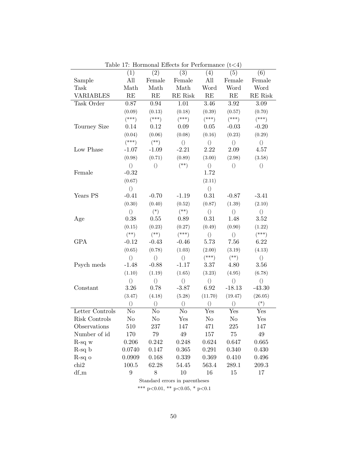|                                | (1)              | (2)              | (3)              | (4)              | (5)              | (6)              |  |
|--------------------------------|------------------|------------------|------------------|------------------|------------------|------------------|--|
| Sample                         | All              | Female           | Female           | All              | Female           | Female           |  |
| Task                           | Math             | Math             | Math             | Word             | Word             | Word             |  |
| VARIABLES                      | RE               | RE               | RE Risk          | RE               | RE               | RE Risk          |  |
| Task Order                     | 0.87             | 0.94             | 1.01             | 3.46             | 3.92             | $3.09\,$         |  |
|                                | (0.09)           | (0.13)           | (0.18)           | (0.39)           | (0.57)           | (0.70)           |  |
|                                | $(***)$          | $(***)$          | $(***)$          | $(***)$          | $(***)$          | $(***)$          |  |
| Tourney Size                   | 0.14             | 0.12             | 0.09             | 0.05             | $-0.03$          | $-0.20$          |  |
|                                | (0.04)           | (0.06)           | (0.08)           | (0.16)           | (0.23)           | (0.29)           |  |
|                                | $(***)$          | $(**)$           | $\left( \right)$ | $\left( \right)$ | $\left( \right)$ | $\left(\right)$  |  |
| Low Phase                      | $-1.07$          | $-1.09$          | $-2.21$          | 2.22             | 2.09             | 4.57             |  |
|                                | (0.98)           | (0.71)           | (0.89)           | (3.00)           | (2.98)           | (3.58)           |  |
|                                | $\left( \right)$ | $\left(\right)$  | $(**)$           | $\left(\right)$  | $\left( \right)$ | $\left(\right)$  |  |
| Female                         | $-0.32$          |                  |                  | 1.72             |                  |                  |  |
|                                | (0.67)           |                  |                  | (2.11)           |                  |                  |  |
|                                | $\left( \right)$ |                  |                  | $\left( \right)$ |                  |                  |  |
| Years PS                       | $-0.41$          | $-0.70$          | $-1.19$          | 0.31             | $-0.87$          | $-3.41$          |  |
|                                | (0.30)           | (0.40)           | (0.52)           | (0.87)           | (1.39)           | (2.10)           |  |
|                                | $\left( \right)$ | $(*)$            | $(**)$           | $\left( \right)$ | $\left( \right)$ | $\left(\right)$  |  |
| Age                            | 0.38             | 0.55             | 0.89             | 0.31             | 1.48             | 3.52             |  |
|                                | (0.15)           | (0.23)           | (0.27)           | (0.49)           | (0.90)           | (1.22)           |  |
|                                | $(**)$           | $(**)$           | $(***)$          | $\left( \right)$ | $\left( \right)$ | $(***)$          |  |
| <b>GPA</b>                     | $-0.12$          | $-0.43$          | $-0.46$          | 5.73             | 7.56             | 6.22             |  |
|                                | (0.65)           | (0.78)           | (1.03)           | (2.00)           | (3.19)           | (4.13)           |  |
|                                | $\left( \right)$ | $\left(\right)$  | $\left( \right)$ | $(***)$          | $(**)$           | $\left( \right)$ |  |
| Psych meds                     | $-1.48$          | $-0.88$          | $-1.17$          | 3.37             | 4.80             | 3.56             |  |
|                                | (1.10)           | (1.19)           | (1.65)           | (3.23)           | (4.95)           | (6.78)           |  |
|                                | $\left(\right)$  | $\left( \right)$ | $\left( \right)$ | $\left(\right)$  | $\left(\right)$  | $\left( \right)$ |  |
| Constant                       | $3.26\,$         | 0.78             | $-3.87$          | 6.92             | $-18.13$         | $-43.30$         |  |
|                                | (3.47)           | (4.18)           | (5.28)           | (11.70)          | (19.47)          | (26.05)          |  |
|                                | $\left( \right)$ | $\left( \right)$ | $\left( \right)$ | $\left( \right)$ | $\left( \right)$ | $(*)$            |  |
| Letter Controls                | No               | No               | No               | $_{\rm Yes}$     | $_{\rm Yes}$     | $_{\rm Yes}$     |  |
| Risk Controls                  | N <sub>o</sub>   | No               | Yes              | No               | N <sub>o</sub>   | Yes              |  |
| Observations                   | 510              | 237              | 147              | 471              | 225              | 147              |  |
| Number of id                   | 170              | 79               | $49\,$           | 157              | 75               | $49\,$           |  |
| $R$ -sq $w$                    | 0.206            | 0.242            | 0.248            | 0.624            | 0.647            | 0.665            |  |
| $R-sq b$                       | 0.0740           | 0.147            | 0.365            | 0.291            | 0.340            | 0.430            |  |
| $R$ -sq $\sigma$               | 0.0909           | 0.168            | 0.339            | 0.369            | 0.410            | 0.496            |  |
| chi2                           | 100.5            | 62.28            | 54.45            | 563.4            | 289.1            | 209.3            |  |
| $df_m$                         | 9                | 8                | 10               | 16               | 15               | 17               |  |
| Standard errors in parentheses |                  |                  |                  |                  |                  |                  |  |

Table 17: Hormonal Effects for Performance  $(t<4)$ 

\*\*\* p<0.01, \*\* p<0.05, \* p<0.1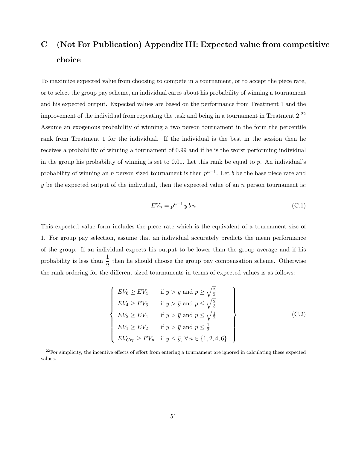## C (Not For Publication) Appendix III: Expected value from competitive choice

To maximize expected value from choosing to compete in a tournament, or to accept the piece rate, or to select the group pay scheme, an individual cares about his probability of winning a tournament and his expected output. Expected values are based on the performance from Treatment 1 and the improvement of the individual from repeating the task and being in a tournament in Treatment 2.<sup>22</sup> Assume an exogenous probability of winning a two person tournament in the form the percentile rank from Treatment 1 for the individual. If the individual is the best in the session then he receives a probability of winning a tournament of 0.99 and if he is the worst performing individual in the group his probability of winning is set to  $0.01$ . Let this rank be equal to p. An individual's probability of winning an n person sized tournament is then  $p^{n-1}$ . Let b be the base piece rate and y be the expected output of the individual, then the expected value of an  $n$  person tournament is:

$$
EV_n = p^{n-1} y b n \tag{C.1}
$$

This expected value form includes the piece rate which is the equivalent of a tournament size of 1. For group pay selection, assume that an individual accurately predicts the mean performance of the group. If an individual expects his output to be lower than the group average and if his probability is less than  $\frac{1}{2}$  then he should choose the group pay compensation scheme. Otherwise the rank ordering for the different sized tournaments in terms of expected values is as follows:

$$
\begin{cases}\nEV_6 \ge EV_4 & \text{if } y > \bar{y} \text{ and } p \ge \sqrt{\frac{2}{3}} \\
EV_4 \ge EV_6 & \text{if } y > \bar{y} \text{ and } p \le \sqrt{\frac{2}{3}} \\
EV_2 \ge EV_4 & \text{if } y > \bar{y} \text{ and } p \le \sqrt{\frac{1}{2}} \\
EV_1 \ge EV_2 & \text{if } y > \bar{y} \text{ and } p \le \frac{1}{2} \\
EV_{Grp} \ge EV_n & \text{if } y \le \bar{y}, \forall n \in \{1, 2, 4, 6\}\n\end{cases}
$$
\n(C.2)

 $22$ For simplicity, the incentive effects of effort from entering a tournament are ignored in calculating these expected values.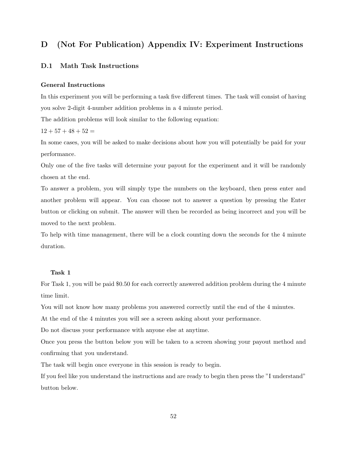## D (Not For Publication) Appendix IV: Experiment Instructions

### D.1 Math Task Instructions

### General Instructions

In this experiment you will be performing a task five different times. The task will consist of having you solve 2-digit 4-number addition problems in a 4 minute period.

The addition problems will look similar to the following equation:

 $12 + 57 + 48 + 52 =$ 

In some cases, you will be asked to make decisions about how you will potentially be paid for your performance.

Only one of the five tasks will determine your payout for the experiment and it will be randomly chosen at the end.

To answer a problem, you will simply type the numbers on the keyboard, then press enter and another problem will appear. You can choose not to answer a question by pressing the Enter button or clicking on submit. The answer will then be recorded as being incorrect and you will be moved to the next problem.

To help with time management, there will be a clock counting down the seconds for the 4 minute duration.

### Task 1

For Task 1, you will be paid \$0.50 for each correctly answered addition problem during the 4 minute time limit.

You will not know how many problems you answered correctly until the end of the 4 minutes.

At the end of the 4 minutes you will see a screen asking about your performance.

Do not discuss your performance with anyone else at anytime.

Once you press the button below you will be taken to a screen showing your payout method and confirming that you understand.

The task will begin once everyone in this session is ready to begin.

If you feel like you understand the instructions and are ready to begin then press the "I understand" button below.

52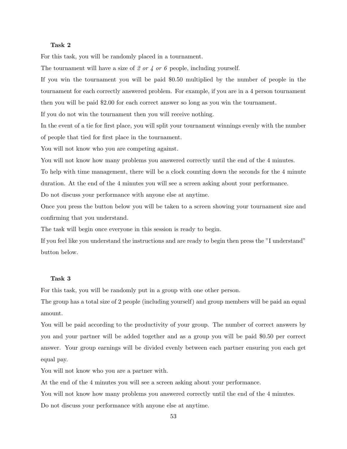### Task 2

For this task, you will be randomly placed in a tournament.

The tournament will have a size of 2 or 4 or 6 people, including yourself.

If you win the tournament you will be paid \$0.50 multiplied by the number of people in the tournament for each correctly answered problem. For example, if you are in a 4 person tournament then you will be paid \$2.00 for each correct answer so long as you win the tournament.

If you do not win the tournament then you will receive nothing.

In the event of a tie for first place, you will split your tournament winnings evenly with the number of people that tied for first place in the tournament.

You will not know who you are competing against.

You will not know how many problems you answered correctly until the end of the 4 minutes.

To help with time management, there will be a clock counting down the seconds for the 4 minute duration. At the end of the 4 minutes you will see a screen asking about your performance.

Do not discuss your performance with anyone else at anytime.

Once you press the button below you will be taken to a screen showing your tournament size and confirming that you understand.

The task will begin once everyone in this session is ready to begin.

If you feel like you understand the instructions and are ready to begin then press the "I understand" button below.

### Task 3

For this task, you will be randomly put in a group with one other person.

The group has a total size of 2 people (including yourself) and group members will be paid an equal amount.

You will be paid according to the productivity of your group. The number of correct answers by you and your partner will be added together and as a group you will be paid \$0.50 per correct answer. Your group earnings will be divided evenly between each partner ensuring you each get equal pay.

You will not know who you are a partner with.

At the end of the 4 minutes you will see a screen asking about your performance.

You will not know how many problems you answered correctly until the end of the 4 minutes.

Do not discuss your performance with anyone else at anytime.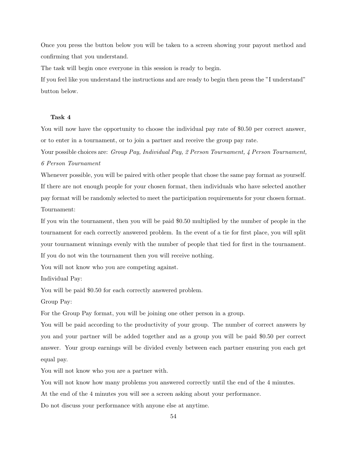Once you press the button below you will be taken to a screen showing your payout method and confirming that you understand.

The task will begin once everyone in this session is ready to begin.

If you feel like you understand the instructions and are ready to begin then press the "I understand" button below.

#### Task 4

You will now have the opportunity to choose the individual pay rate of \$0.50 per correct answer, or to enter in a tournament, or to join a partner and receive the group pay rate.

Your possible choices are: Group Pay, Individual Pay, 2 Person Tournament, 4 Person Tournament, 6 Person Tournament

Whenever possible, you will be paired with other people that chose the same pay format as yourself. If there are not enough people for your chosen format, then individuals who have selected another pay format will be randomly selected to meet the participation requirements for your chosen format. Tournament:

If you win the tournament, then you will be paid \$0.50 multiplied by the number of people in the tournament for each correctly answered problem. In the event of a tie for first place, you will split your tournament winnings evenly with the number of people that tied for first in the tournament. If you do not win the tournament then you will receive nothing.

You will not know who you are competing against.

Individual Pay:

You will be paid \$0.50 for each correctly answered problem.

Group Pay:

For the Group Pay format, you will be joining one other person in a group.

You will be paid according to the productivity of your group. The number of correct answers by you and your partner will be added together and as a group you will be paid \$0.50 per correct answer. Your group earnings will be divided evenly between each partner ensuring you each get equal pay.

You will not know who you are a partner with.

You will not know how many problems you answered correctly until the end of the 4 minutes.

At the end of the 4 minutes you will see a screen asking about your performance.

Do not discuss your performance with anyone else at anytime.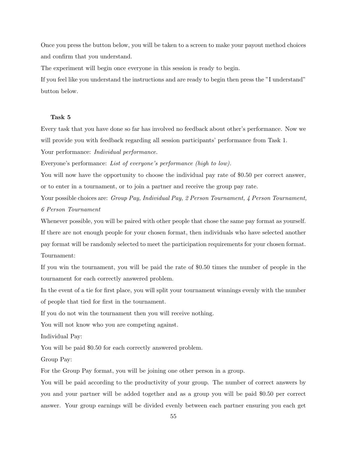Once you press the button below, you will be taken to a screen to make your payout method choices and confirm that you understand.

The experiment will begin once everyone in this session is ready to begin.

If you feel like you understand the instructions and are ready to begin then press the "I understand" button below.

### Task 5

Every task that you have done so far has involved no feedback about other's performance. Now we will provide you with feedback regarding all session participants' performance from Task 1.

Your performance: Individual performance.

Everyone's performance: List of everyone's performance (high to low).

You will now have the opportunity to choose the individual pay rate of \$0.50 per correct answer, or to enter in a tournament, or to join a partner and receive the group pay rate.

Your possible choices are: Group Pay, Individual Pay, 2 Person Tournament, 4 Person Tournament, 6 Person Tournament

Whenever possible, you will be paired with other people that chose the same pay format as yourself. If there are not enough people for your chosen format, then individuals who have selected another pay format will be randomly selected to meet the participation requirements for your chosen format. Tournament:

If you win the tournament, you will be paid the rate of \$0.50 times the number of people in the tournament for each correctly answered problem.

In the event of a tie for first place, you will split your tournament winnings evenly with the number of people that tied for first in the tournament.

If you do not win the tournament then you will receive nothing.

You will not know who you are competing against.

Individual Pay:

You will be paid \$0.50 for each correctly answered problem.

Group Pay:

For the Group Pay format, you will be joining one other person in a group.

You will be paid according to the productivity of your group. The number of correct answers by you and your partner will be added together and as a group you will be paid \$0.50 per correct answer. Your group earnings will be divided evenly between each partner ensuring you each get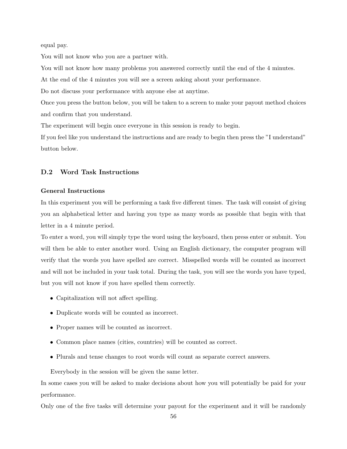equal pay.

You will not know who you are a partner with.

You will not know how many problems you answered correctly until the end of the 4 minutes.

At the end of the 4 minutes you will see a screen asking about your performance.

Do not discuss your performance with anyone else at anytime.

Once you press the button below, you will be taken to a screen to make your payout method choices and confirm that you understand.

The experiment will begin once everyone in this session is ready to begin.

If you feel like you understand the instructions and are ready to begin then press the "I understand" button below.

### D.2 Word Task Instructions

### General Instructions

In this experiment you will be performing a task five different times. The task will consist of giving you an alphabetical letter and having you type as many words as possible that begin with that letter in a 4 minute period.

To enter a word, you will simply type the word using the keyboard, then press enter or submit. You will then be able to enter another word. Using an English dictionary, the computer program will verify that the words you have spelled are correct. Misspelled words will be counted as incorrect and will not be included in your task total. During the task, you will see the words you have typed, but you will not know if you have spelled them correctly.

- Capitalization will not affect spelling.
- Duplicate words will be counted as incorrect.
- Proper names will be counted as incorrect.
- Common place names (cities, countries) will be counted as correct.
- Plurals and tense changes to root words will count as separate correct answers.

Everybody in the session will be given the same letter.

In some cases you will be asked to make decisions about how you will potentially be paid for your performance.

Only one of the five tasks will determine your payout for the experiment and it will be randomly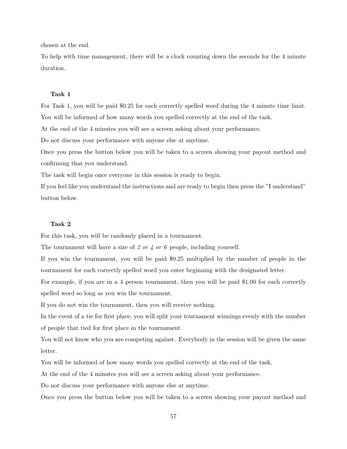chosen at the end.

To help with time management, there will be a clock counting down the seconds for the 4 minute duration.

### Task 1

For Task 1, you will be paid \$0.25 for each correctly spelled word during the 4 minute time limit. You will be informed of how many words you spelled correctly at the end of the task.

At the end of the 4 minutes you will see a screen asking about your performance.

Do not discuss your performance with anyone else at anytime.

Once you press the button below you will be taken to a screen showing your payout method and confirming that you understand.

The task will begin once everyone in this session is ready to begin.

If you feel like you understand the instructions and are ready to begin then press the "I understand" button below.

### Task 2

For this task, you will be randomly placed in a tournament.

The tournament will have a size of 2 or 4 or 6 people, including yourself.

If you win the tournament, you will be paid \$0.25 multiplied by the number of people in the tournament for each correctly spelled word you enter beginning with the designated letter.

For example, if you are in a 4 person tournament, then you will be paid \$1.00 for each correctly spelled word so long as you win the tournament.

If you do not win the tournament, then you will receive nothing.

In the event of a tie for first place, you will split your tournament winnings evenly with the number of people that tied for first place in the tournament.

You will not know who you are competing against. Everybody in the session will be given the same letter.

You will be informed of how many words you spelled correctly at the end of the task.

At the end of the 4 minutes you will see a screen asking about your performance.

Do not discuss your performance with anyone else at anytime.

Once you press the button below you will be taken to a screen showing your payout method and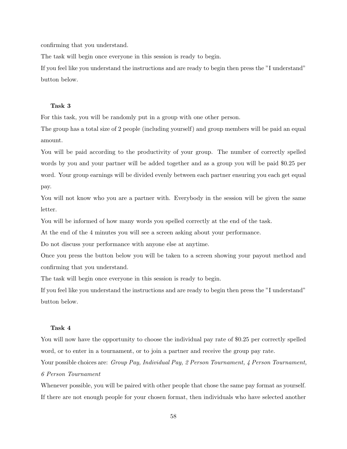confirming that you understand.

The task will begin once everyone in this session is ready to begin.

If you feel like you understand the instructions and are ready to begin then press the "I understand" button below.

### Task 3

For this task, you will be randomly put in a group with one other person.

The group has a total size of 2 people (including yourself) and group members will be paid an equal amount.

You will be paid according to the productivity of your group. The number of correctly spelled words by you and your partner will be added together and as a group you will be paid \$0.25 per word. Your group earnings will be divided evenly between each partner ensuring you each get equal pay.

You will not know who you are a partner with. Everybody in the session will be given the same letter.

You will be informed of how many words you spelled correctly at the end of the task.

At the end of the 4 minutes you will see a screen asking about your performance.

Do not discuss your performance with anyone else at anytime.

Once you press the button below you will be taken to a screen showing your payout method and confirming that you understand.

The task will begin once everyone in this session is ready to begin.

If you feel like you understand the instructions and are ready to begin then press the "I understand" button below.

### Task 4

You will now have the opportunity to choose the individual pay rate of \$0.25 per correctly spelled word, or to enter in a tournament, or to join a partner and receive the group pay rate.

Your possible choices are: Group Pay, Individual Pay, 2 Person Tournament, 4 Person Tournament, 6 Person Tournament

Whenever possible, you will be paired with other people that chose the same pay format as yourself. If there are not enough people for your chosen format, then individuals who have selected another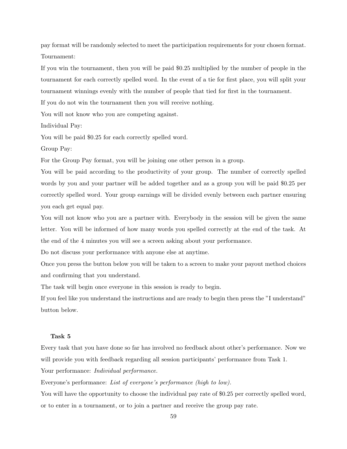pay format will be randomly selected to meet the participation requirements for your chosen format. Tournament:

If you win the tournament, then you will be paid \$0.25 multiplied by the number of people in the tournament for each correctly spelled word. In the event of a tie for first place, you will split your tournament winnings evenly with the number of people that tied for first in the tournament.

If you do not win the tournament then you will receive nothing.

You will not know who you are competing against.

Individual Pay:

You will be paid \$0.25 for each correctly spelled word.

Group Pay:

For the Group Pay format, you will be joining one other person in a group.

You will be paid according to the productivity of your group. The number of correctly spelled words by you and your partner will be added together and as a group you will be paid \$0.25 per correctly spelled word. Your group earnings will be divided evenly between each partner ensuring you each get equal pay.

You will not know who you are a partner with. Everybody in the session will be given the same letter. You will be informed of how many words you spelled correctly at the end of the task. At the end of the 4 minutes you will see a screen asking about your performance.

Do not discuss your performance with anyone else at anytime.

Once you press the button below you will be taken to a screen to make your payout method choices and confirming that you understand.

The task will begin once everyone in this session is ready to begin.

If you feel like you understand the instructions and are ready to begin then press the "I understand" button below.

### Task 5

Every task that you have done so far has involved no feedback about other's performance. Now we will provide you with feedback regarding all session participants' performance from Task 1. Your performance: Individual performance.

Everyone's performance: List of everyone's performance (high to low).

You will have the opportunity to choose the individual pay rate of \$0.25 per correctly spelled word, or to enter in a tournament, or to join a partner and receive the group pay rate.